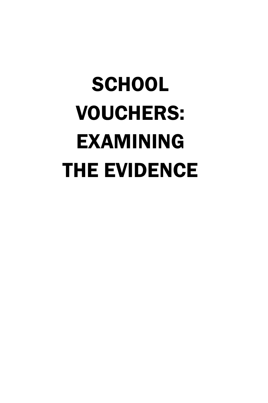# **SCHOOL VOUCHERS: EXAMINING THE EVIDENCE**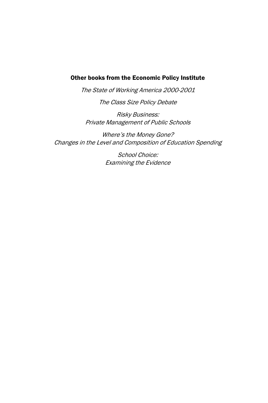#### Other books from the Economic Policy Institute

The State of Working America 2000-2001

The Class Size Policy Debate

**Risky Business:** Private Management of Public Schools

Where's the Money Gone? Changes in the Level and Composition of Education Spending

> School Choice: **Examining the Evidence**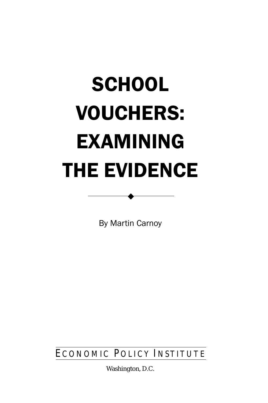# SCHOOL **VOUCHERS: EXAMINING** THE EVIDENCE

By Martin Carnoy

◆

ECONOMIC POLICY INSTITUTE

Washington, D.C.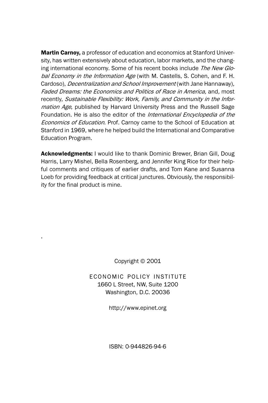**Martin Carnoy, a professor of education and economics at Stanford Univer**sity, has written extensively about education, labor markets, and the changing international economy. Some of his recent books include The New Global Economy in the Information Age (with M. Castells, S. Cohen, and F. H. Cardoso), *Decentralization and School Improvement* (with Jane Hannaway), Faded Dreams: the Economics and Politics of Race in America, and, most recently, Sustainable Flexibility: Work, Family, and Community in the Infor*mation Age*, published by Harvard University Press and the Russell Sage Foundation. He is also the editor of the International Encyclopedia of the Economics of Education. Prof. Carnoy came to the School of Education at Stanford in 1969, where he helped build the International and Comparative **Education Program.** 

Acknowledgments: I would like to thank Dominic Brewer, Brian Gill, Doug Harris, Larry Mishel, Bella Rosenberg, and Jennifer King Rice for their helpful comments and critiques of earlier drafts, and Tom Kane and Susanna Loeb for providing feedback at critical junctures. Obviously, the responsibility for the final product is mine.

Copyright © 2001

ECONOMIC POLICY INSTITUTE 1660 L Street, NW. Suite 1200 Washington, D.C. 20036

http://www.epinet.org

ISBN: 0-944826-94-6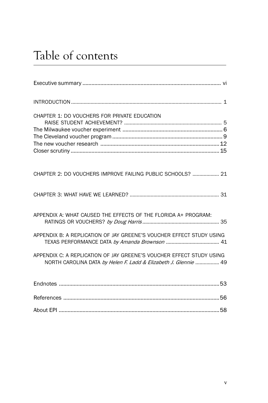### Table of contents

| CHAPTER 1: DO VOUCHERS FOR PRIVATE EDUCATION                                                                                            |
|-----------------------------------------------------------------------------------------------------------------------------------------|
| CHAPTER 2: DO VOUCHERS IMPROVE FAILING PUBLIC SCHOOLS?  21                                                                              |
|                                                                                                                                         |
| APPENDIX A: WHAT CAUSED THE EFFECTS OF THE FLORIDA A+ PROGRAM:                                                                          |
| APPENDIX B: A REPLICATION OF JAY GREENE'S VOUCHER EFFECT STUDY USING                                                                    |
| APPENDIX C: A REPLICATION OF JAY GREENE'S VOUCHER EFFECT STUDY USING<br>NORTH CAROLINA DATA by Helen F. Ladd & Elizabeth J. Glennie  49 |
|                                                                                                                                         |
|                                                                                                                                         |
|                                                                                                                                         |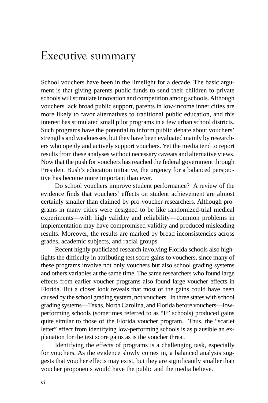# Executive summary

School vouchers have been in the limelight for a decade. The basic argument is that giving parents public funds to send their children to private schools will stimulate innovation and competition among schools. Although vouchers lack broad public support, parents in low-income inner cities are more likely to favor alternatives to traditional public education, and this interest has stimulated small pilot programs in a few urban school districts. Such programs have the potential to inform public debate about vouchers' strengths and weaknesses, but they have been evaluated mainly by researchers who openly and actively support vouchers. Yet the media tend to report results from these analyses without necessary caveats and alternative views. Now that the push for vouchers has reached the federal government through President Bush's education initiative, the urgency for a balanced perspective has become more important than ever.

Do school vouchers improve student performance? A review of the evidence finds that vouchers' effects on student achievement are almost certainly smaller than claimed by pro-voucher researchers. Although programs in many cities were designed to be like randomized-trial medical experiments—with high validity and reliability—common problems in implementation may have compromised validity and produced misleading results. Moreover, the results are marked by broad inconsistencies across grades, academic subjects, and racial groups.

Recent highly publicized research involving Florida schools also highlights the difficulty in attributing test score gains to vouchers, since many of these programs involve not only vouchers but also school grading systems and others variables at the same time. The same researchers who found large effects from earlier voucher programs also found large voucher effects in Florida. But a closer look reveals that most of the gains could have been caused by the school grading system, not vouchers. In three states with school grading systems—Texas, North Carolina, and Florida before vouchers—lowperforming schools (sometimes referred to as "F" schools) produced gains quite similar to those of the Florida voucher program. Thus, the "scarlet letter" effect from identifying low-performing schools is as plausible an explanation for the test score gains as is the voucher threat.

Identifying the effects of programs is a challenging task, especially for vouchers. As the evidence slowly comes in, a balanced analysis suggests that voucher effects may exist, but they are significantly smaller than voucher proponents would have the public and the media believe.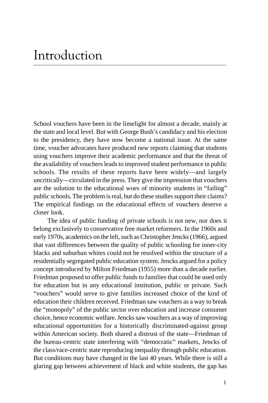School vouchers have been in the limelight for almost a decade, mainly at the state and local level. But with George Bush's candidacy and his election to the presidency, they have now become a national issue. At the same time, voucher advocates have produced new reports claiming that students using vouchers improve their academic performance and that the threat of the availability of vouchers leads to improved student performance in public schools. The results of these reports have been widely—and largely uncritically—circulated in the press. They give the impression that vouchers are the solution to the educational woes of minority students in "failing" public schools. The problem is real, but do these studies support their claims? The empirical findings on the educational effects of vouchers deserve a closer look.

The idea of public funding of private schools is not new, nor does it belong exclusively to conservative free market reformers. In the 1960s and early 1970s, academics on the left, such as Christopher Jencks (1966), argued that vast differences between the quality of public schooling for inner-city blacks and suburban whites could not be resolved within the structure of a residentially segregated public education system. Jencks argued for a policy concept introduced by Milton Friedman (1955) more than a decade earlier. Friedman proposed to offer public funds to families that could be used only for education but in any educational institution, public or private. Such "vouchers" would serve to give families increased choice of the kind of education their children received. Friedman saw vouchers as a way to break the "monopoly" of the public sector over education and increase consumer choice, hence economic welfare. Jencks saw vouchers as a way of improving educational opportunities for a historically discriminated-against group within American society. Both shared a distrust of the state—Friedman of the bureau-centric state interfering with "democratic" markets, Jencks of the class/race-centric state reproducing inequality through public education. But conditions may have changed in the last 40 years. While there is still a glaring gap between achievement of black and white students, the gap has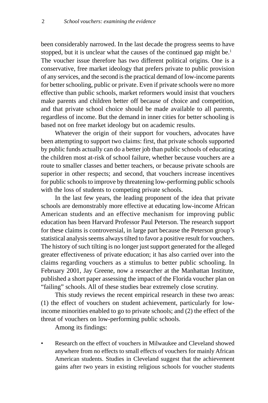been considerably narrowed. In the last decade the progress seems to have stopped, but it is unclear what the causes of the continued gap might be.<sup>1</sup> The voucher issue therefore has two different political origins. One is a conservative, free market ideology that prefers private to public provision of any services, and the second is the practical demand of low-income parents for better schooling, public or private. Even if private schools were no more effective than public schools, market reformers would insist that vouchers make parents and children better off because of choice and competition, and that private school choice should be made available to all parents, regardless of income. But the demand in inner cities for better schooling is based not on free market ideology but on academic results.

Whatever the origin of their support for vouchers, advocates have been attempting to support two claims: first, that private schools supported by public funds actually can do a better job than public schools of educating the children most at-risk of school failure, whether because vouchers are a route to smaller classes and better teachers, or because private schools are superior in other respects; and second, that vouchers increase incentives for public schools to improve by threatening low-performing public schools with the loss of students to competing private schools.

In the last few years, the leading proponent of the idea that private schools are demonstrably more effective at educating low-income African American students and an effective mechanism for improving public education has been Harvard Professor Paul Peterson. The research support for these claims is controversial, in large part because the Peterson group's statistical analysis seems always tilted to favor a positive result for vouchers. The history of such tilting is no longer just support generated for the alleged greater effectiveness of private education; it has also carried over into the claims regarding vouchers as a stimulus to better public schooling. In February 2001, Jay Greene, now a researcher at the Manhattan Institute, published a short paper assessing the impact of the Florida voucher plan on "failing" schools. All of these studies bear extremely close scrutiny.

This study reviews the recent empirical research in these two areas: (1) the effect of vouchers on student achievement, particularly for lowincome minorities enabled to go to private schools; and (2) the effect of the threat of vouchers on low-performing public schools.

Among its findings:

• Research on the effect of vouchers in Milwaukee and Cleveland showed anywhere from no effects to small effects of vouchers for mainly African American students. Studies in Cleveland suggest that the achievement gains after two years in existing religious schools for voucher students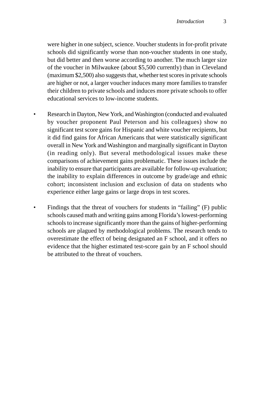were higher in one subject, science. Voucher students in for-profit private schools did significantly worse than non-voucher students in one study, but did better and then worse according to another. The much larger size of the voucher in Milwaukee (about \$5,500 currently) than in Cleveland (maximum \$2,500) also suggests that, whether test scores in private schools are higher or not, a larger voucher induces many more families to transfer their children to private schools and induces more private schools to offer educational services to low-income students.

- Research in Dayton, New York, and Washington (conducted and evaluated by voucher proponent Paul Peterson and his colleagues) show no significant test score gains for Hispanic and white voucher recipients, but it did find gains for African Americans that were statistically significant overall in New York and Washington and marginally significant in Dayton (in reading only). But several methodological issues make these comparisons of achievement gains problematic. These issues include the inability to ensure that participants are available for follow-up evaluation; the inability to explain differences in outcome by grade/age and ethnic cohort; inconsistent inclusion and exclusion of data on students who experience either large gains or large drops in test scores.
- Findings that the threat of vouchers for students in "failing" (F) public schools caused math and writing gains among Florida's lowest-performing schools to increase significantly more than the gains of higher-performing schools are plagued by methodological problems. The research tends to overestimate the effect of being designated an F school, and it offers no evidence that the higher estimated test-score gain by an F school should be attributed to the threat of vouchers.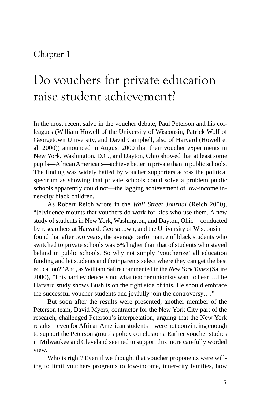# Do vouchers for private education raise student achievement?

In the most recent salvo in the voucher debate, Paul Peterson and his colleagues (William Howell of the University of Wisconsin, Patrick Wolf of Georgetown University, and David Campbell, also of Harvard (Howell et al. 2000)) announced in August 2000 that their voucher experiments in New York, Washington, D.C., and Dayton, Ohio showed that at least some pupils—African Americans—achieve better in private than in public schools. The finding was widely hailed by voucher supporters across the political spectrum as showing that private schools could solve a problem public schools apparently could not—the lagging achievement of low-income inner-city black children.

As Robert Reich wrote in the *Wall Street Journal* (Reich 2000), "[e]vidence mounts that vouchers do work for kids who use them. A new study of students in New York, Washington, and Dayton, Ohio—conducted by researchers at Harvard, Georgetown, and the University of Wisconsin found that after two years, the average performance of black students who switched to private schools was 6% higher than that of students who stayed behind in public schools. So why not simply 'voucherize' all education funding and let students and their parents select where they can get the best education?" And, as William Safire commented in the *New York Times* (Safire 2000), "This hard evidence is not what teacher unionists want to hear….The Harvard study shows Bush is on the right side of this. He should embrace the successful voucher students and joyfully join the controversy…."

But soon after the results were presented, another member of the Peterson team, David Myers, contractor for the New York City part of the research, challenged Peterson's interpretation, arguing that the New York results—even for African American students—were not convincing enough to support the Peterson group's policy conclusions. Earlier voucher studies in Milwaukee and Cleveland seemed to support this more carefully worded view.

Who is right? Even if we thought that voucher proponents were willing to limit vouchers programs to low-income, inner-city families, how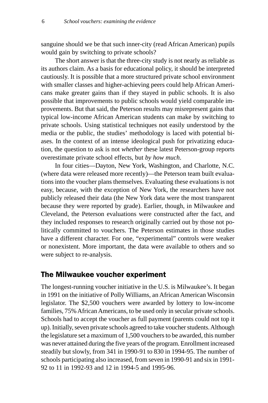sanguine should we be that such inner-city (read African American) pupils would gain by switching to private schools?

The short answer is that the three-city study is not nearly as reliable as its authors claim. As a basis for educational policy, it should be interpreted cautiously. It is possible that a more structured private school environment with smaller classes and higher-achieving peers could help African Americans make greater gains than if they stayed in public schools. It is also possible that improvements to public schools would yield comparable improvements. But that said, the Peterson results may misrepresent gains that typical low-income African American students can make by switching to private schools. Using statistical techniques not easily understood by the media or the public, the studies' methodology is laced with potential biases. In the context of an intense ideological push for privatizing education, the question to ask is not *whether* these latest Peterson-group reports overestimate private school effects, but *by how much*.

In four cities—Dayton, New York, Washington, and Charlotte, N.C. (where data were released more recently)—the Peterson team built evaluations into the voucher plans themselves. Evaluating these evaluations is not easy, because, with the exception of New York, the researchers have not publicly released their data (the New York data were the most transparent because they were reported by grade). Earlier, though, in Milwaukee and Cleveland, the Peterson evaluations were constructed after the fact, and they included responses to research originally carried out by those not politically committed to vouchers. The Peterson estimates in those studies have a different character. For one, "experimental" controls were weaker or nonexistent. More important, the data were available to others and so were subject to re-analysis.

#### The Milwaukee voucher experiment

The longest-running voucher initiative in the U.S. is Milwaukee's. It began in 1991 on the initiative of Polly Williams, an African American Wisconsin legislator. The \$2,500 vouchers were awarded by lottery to low-income families, 75% African Americans, to be used only in secular private schools. Schools had to accept the voucher as full payment (parents could not top it up). Initially, seven private schools agreed to take voucher students. Although the legislature set a maximum of 1,500 vouchers to be awarded, this number was never attained during the five years of the program. Enrollment increased steadily but slowly, from 341 in 1990-91 to 830 in 1994-95. The number of schools participating also increased, from seven in 1990-91 and six in 1991- 92 to 11 in 1992-93 and 12 in 1994-5 and 1995-96.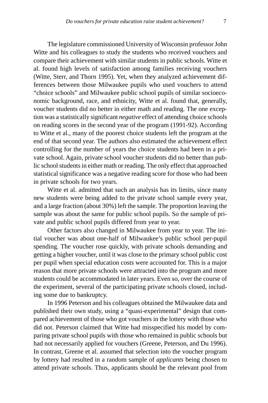The legislature commissioned University of Wisconsin professor John Witte and his colleagues to study the students who received vouchers and compare their achievement with similar students in public schools. Witte et al. found high levels of satisfaction among families receiving vouchers (Witte, Sterr, and Thorn 1995). Yet, when they analyzed achievement differences between those Milwaukee pupils who used vouchers to attend "choice schools" and Milwaukee public school pupils of similar socioeconomic background, race, and ethnicity, Witte et al. found that, generally, voucher students did no better in either math and reading. The one exception was a statistically significant *negative* effect of attending choice schools on reading scores in the second year of the program (1991-92). According to Witte et al., many of the poorest choice students left the program at the end of that second year. The authors also estimated the achievement effect controlling for the number of years the choice students had been in a private school. Again, private school voucher students did no better than public school students in either math or reading. The only effect that approached statistical significance was a negative reading score for those who had been in private schools for two years.

Witte et al. admitted that such an analysis has its limits, since many new students were being added to the private school sample every year, and a large fraction (about 30%) left the sample. The proportion leaving the sample was about the same for public school pupils. So the sample of private and public school pupils differed from year to year.

Other factors also changed in Milwaukee from year to year. The initial voucher was about one-half of Milwaukee's public school per-pupil spending. The voucher rose quickly, with private schools demanding and getting a higher voucher, until it was close to the primary school public cost per pupil when special education costs were accounted for. This is a major reason that more private schools were attracted into the program and more students could be accommodated in later years. Even so, over the course of the experiment, several of the participating private schools closed, including some due to bankruptcy.

In 1996 Peterson and his colleagues obtained the Milwaukee data and published their own study, using a "quasi-experimental" design that compared achievement of those who got vouchers in the lottery with those who did not. Peterson claimed that Witte had misspecified his model by comparing private school pupils with those who remained in public schools but had not necessarily applied for vouchers (Greene, Peterson, and Du 1996). In contrast, Greene et al. assumed that selection into the voucher program by lottery had resulted in a random sample of *applicants* being chosen to attend private schools. Thus, applicants should be the relevant pool from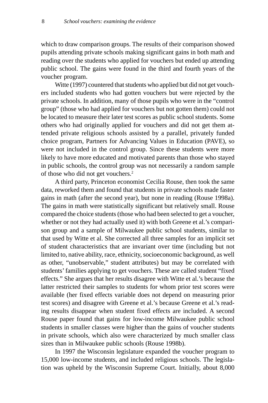which to draw comparison groups. The results of their comparison showed pupils attending private schools making significant gains in both math and reading over the students who applied for vouchers but ended up attending public school. The gains were found in the third and fourth years of the voucher program.

Witte (1997) countered that students who applied but did not get vouchers included students who had gotten vouchers but were rejected by the private schools. In addition, many of those pupils who were in the "control group" (those who had applied for vouchers but not gotten them) could not be located to measure their later test scores as public school students. Some others who had originally applied for vouchers and did not get them attended private religious schools assisted by a parallel, privately funded choice program, Partners for Advancing Values in Education (PAVE), so were not included in the control group. Since these students were more likely to have more educated and motivated parents than those who stayed in public schools, the control group was not necessarily a random sample of those who did not get vouchers.2

A third party, Princeton economist Cecilia Rouse, then took the same data, reworked them and found that students in private schools made faster gains in math (after the second year), but none in reading (Rouse 1998a). The gains in math were statistically significant but relatively small. Rouse compared the choice students (those who had been selected to get a voucher, whether or not they had actually used it) with both Greene et al.'s comparison group and a sample of Milwaukee public school students, similar to that used by Witte et al. She corrected all three samples for an implicit set of student characteristics that are invariant over time (including but not limited to, native ability, race, ethnicity, socioeconomic background, as well as other, "unobservable," student attributes) but may be correlated with students' families applying to get vouchers. These are called student "fixed effects." She argues that her results disagree with Witte et al.'s because the latter restricted their samples to students for whom prior test scores were available (her fixed effects variable does not depend on measuring prior test scores) and disagree with Greene et al.'s because Greene et al.'s reading results disappear when student fixed effects are included. A second Rouse paper found that gains for low-income Milwaukee public school students in smaller classes were higher than the gains of voucher students in private schools, which also were characterized by much smaller class sizes than in Milwaukee public schools (Rouse 1998b).

In 1997 the Wisconsin legislature expanded the voucher program to 15,000 low-income students, and included religious schools. The legislation was upheld by the Wisconsin Supreme Court. Initially, about 8,000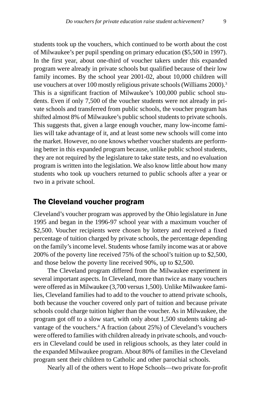students took up the vouchers, which continued to be worth about the cost of Milwaukee's per pupil spending on primary education (\$5,500 in 1997). In the first year, about one-third of voucher takers under this expanded program were already in private schools but qualified because of their low family incomes. By the school year 2001-02, about 10,000 children will use vouchers at over 100 mostly religious private schools (Williams 2000).<sup>3</sup> This is a significant fraction of Milwaukee's 100,000 public school students. Even if only 7,500 of the voucher students were not already in private schools and transferred from public schools, the voucher program has shifted almost 8% of Milwaukee's public school students to private schools. This suggests that, given a large enough voucher, many low-income families will take advantage of it, and at least some new schools will come into the market. However, no one knows whether voucher students are performing better in this expanded program because, unlike public school students, they are not required by the legislature to take state tests, and no evaluation program is written into the legislation. We also know little about how many students who took up vouchers returned to public schools after a year or two in a private school.

#### The Cleveland voucher program

Cleveland's voucher program was approved by the Ohio legislature in June 1995 and began in the 1996-97 school year with a maximum voucher of \$2,500. Voucher recipients were chosen by lottery and received a fixed percentage of tuition charged by private schools, the percentage depending on the family's income level. Students whose family income was at or above 200% of the poverty line received 75% of the school's tuition up to \$2,500, and those below the poverty line received 90%, up to \$2,500.

The Cleveland program differed from the Milwaukee experiment in several important aspects. In Cleveland, more than twice as many vouchers were offered as in Milwaukee (3,700 versus 1,500). Unlike Milwaukee families, Cleveland families had to add to the voucher to attend private schools, both because the voucher covered only part of tuition and because private schools could charge tuition higher than the voucher. As in Milwaukee, the program got off to a slow start, with only about 1,500 students taking advantage of the vouchers.<sup>4</sup> A fraction (about 25%) of Cleveland's vouchers were offered to families with children already in private schools, and vouchers in Cleveland could be used in religious schools, as they later could in the expanded Milwaukee program. About 80% of families in the Cleveland program sent their children to Catholic and other parochial schools.

Nearly all of the others went to Hope Schools—two private for-profit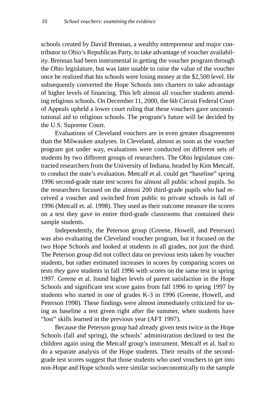schools created by David Brennan, a wealthy entrepreneur and major contributor to Ohio's Republican Party, to take advantage of voucher availability. Brennan had been instrumental in getting the voucher program through the Ohio legislature, but was later unable to raise the value of the voucher once he realized that his schools were losing money at the \$2,500 level. He subsequently converted the Hope Schools into charters to take advantage of higher levels of financing. This left almost all voucher students attending religious schools. On December 11, 2000, the 6th Circuit Federal Court of Appeals upheld a lower court ruling that these vouchers gave unconstitutional aid to religious schools. The program's future will be decided by the U.S. Supreme Court.

Evaluations of Cleveland vouchers are in even greater disagreement than the Milwaukee analyses. In Cleveland, almost as soon as the voucher program got under way, evaluations were conducted on different sets of students by two different groups of researchers. The Ohio legislature contracted researchers from the University of Indiana, headed by Kim Metcalf, to conduct the state's evaluation. Metcalf et al. could get "baseline" spring 1996 second-grade state test scores for almost all public school pupils. So the researchers focused on the almost 200 third-grade pupils who had received a voucher and switched from public to private schools in fall of 1996 (Metcalf et. al. 1998). They used as their outcome measure the scores on a test they gave to entire third-grade classrooms that contained their sample students.

Independently, the Peterson group (Greene, Howell, and Peterson) was also evaluating the Cleveland voucher program, but it focused on the two Hope Schools and looked at students in all grades, not just the third. The Peterson group did not collect data on previous tests taken by voucher students, but rather estimated increases in scores by comparing scores on tests *they* gave students in fall 1996 with scores on the same test in spring 1997. Greene et al. found higher levels of parent satisfaction in the Hope Schools and significant test score gains from fall 1996 to spring 1997 by students who started in one of grades K-3 in 1996 (Greene, Howell, and Peterson 1998). These findings were almost immediately criticized for using as baseline a test given right after the summer, when students have "lost" skills learned in the previous year (AFT 1997).

Because the Peterson group had already given tests twice in the Hope Schools (fall and spring), the schools' administration declined to test the children again using the Metcalf group's instrument. Metcalf et al. had to do a separate analysis of the Hope students. Their results of the secondgrade test scores suggest that those students who used vouchers to get into non-Hope and Hope schools were similar socioeconomically to the sample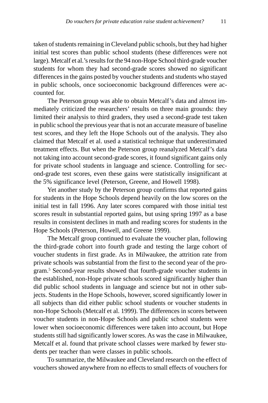taken of students remaining in Cleveland public schools, but they had higher initial test scores than public school students (these differences were not large). Metcalf et al.'s results for the 94 non-Hope School third-grade voucher students for whom they had second-grade scores showed no significant differences in the gains posted by voucher students and students who stayed in public schools, once socioeconomic background differences were accounted for.

The Peterson group was able to obtain Metcalf's data and almost immediately criticized the researchers' results on three main grounds: they limited their analysis to third graders, they used a second-grade test taken in public school the previous year that is not an accurate measure of baseline test scores, and they left the Hope Schools out of the analysis. They also claimed that Metcalf et al. used a statistical technique that underestimated treatment effects. But when the Peterson group reanalyzed Metcalf's data not taking into account second-grade scores, it found significant gains only for private school students in language and science. Controlling for second-grade test scores, even these gains were statistically insignificant at the 5% significance level (Peterson, Greene, and Howell 1998).

Yet another study by the Peterson group confirms that reported gains for students in the Hope Schools depend heavily on the low scores on the initial test in fall 1996. Any later scores compared with those initial test scores result in substantial reported gains, but using spring 1997 as a base results in consistent declines in math and reading scores for students in the Hope Schools (Peterson, Howell, and Greene 1999).

The Metcalf group continued to evaluate the voucher plan, following the third-grade cohort into fourth grade and testing the large cohort of voucher students in first grade. As in Milwaukee, the attrition rate from private schools was substantial from the first to the second year of the program.5 Second-year results showed that fourth-grade voucher students in the established, non-Hope private schools scored significantly higher than did public school students in language and science but not in other subjects. Students in the Hope Schools, however, scored significantly lower in all subjects than did either public school students or voucher students in non-Hope Schools (Metcalf et al. 1999). The differences in scores between voucher students in non-Hope Schools and public school students were lower when socioeconomic differences were taken into account, but Hope students still had significantly lower scores. As was the case in Milwaukee, Metcalf et al. found that private school classes were marked by fewer students per teacher than were classes in public schools.

To summarize, the Milwaukee and Cleveland research on the effect of vouchers showed anywhere from no effects to small effects of vouchers for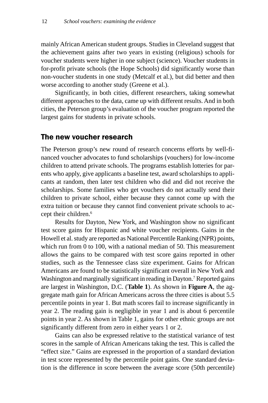mainly African American student groups. Studies in Cleveland suggest that the achievement gains after two years in existing (religious) schools for voucher students were higher in one subject (science). Voucher students in for-profit private schools (the Hope Schools) did significantly worse than non-voucher students in one study (Metcalf et al.), but did better and then worse according to another study (Greene et al.).

Significantly, in both cities, different researchers, taking somewhat different approaches to the data, came up with different results. And in both cities, the Peterson group's evaluation of the voucher program reported the largest gains for students in private schools.

#### The new voucher research

The Peterson group's new round of research concerns efforts by well-financed voucher advocates to fund scholarships (vouchers) for low-income children to attend private schools. The programs establish lotteries for parents who apply, give applicants a baseline test, award scholarships to applicants at random, then later test children who did and did not receive the scholarships. Some families who get vouchers do not actually send their children to private school, either because they cannot come up with the extra tuition or because they cannot find convenient private schools to accept their children.<sup>6</sup>

Results for Dayton, New York, and Washington show no significant test score gains for Hispanic and white voucher recipients. Gains in the Howell et al. study are reported as National Percentile Ranking (NPR) points, which run from 0 to 100, with a national median of 50. This measurement allows the gains to be compared with test score gains reported in other studies, such as the Tennessee class size experiment. Gains for African Americans are found to be statistically significant overall in New York and Washington and marginally significant in reading in Dayton.<sup>7</sup> Reported gains are largest in Washington, D.C. (**Table 1**). As shown in **Figure A**, the aggregate math gain for African Americans across the three cities is about 5.5 percentile points in year 1. But math scores fail to increase significantly in year 2. The reading gain is negligible in year 1 and is about 6 percentile points in year 2. As shown in Table 1, gains for other ethnic groups are not significantly different from zero in either years 1 or 2.

Gains can also be expressed relative to the statistical variance of test scores in the sample of African Americans taking the test. This is called the "effect size." Gains are expressed in the proportion of a standard deviation in test score represented by the percentile point gains. One standard deviation is the difference in score between the average score (50th percentile)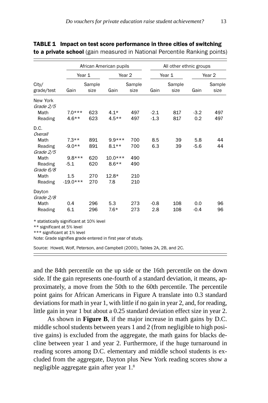|                                                                                                                                                                      |                     |                | African American pupils |                   |                  | All other ethnic groups |               |                |
|----------------------------------------------------------------------------------------------------------------------------------------------------------------------|---------------------|----------------|-------------------------|-------------------|------------------|-------------------------|---------------|----------------|
|                                                                                                                                                                      | Year 1              |                |                         | Year <sub>2</sub> |                  | Year 1                  |               | Year 2         |
| City/<br>grade/test                                                                                                                                                  | Gain                | Sample<br>size | Gain                    | Sample<br>size    | Gain             | Sample<br>size          | Gain          | Sample<br>size |
| New York<br>Grade 2/5                                                                                                                                                |                     |                |                         |                   |                  |                         |               |                |
| Math<br>Reading                                                                                                                                                      | $7.0***$<br>$4.6**$ | 623<br>623     | $4.1*$<br>$4.5**$       | 497<br>497        | $-2.1$<br>$-1.3$ | 817<br>817              | $-3.2$<br>0.2 | 497<br>497     |
| D.C.<br>Overall                                                                                                                                                      |                     |                |                         |                   |                  |                         |               |                |
| Math                                                                                                                                                                 | $7.3**$             | 891            | $9.9***$                | 700               | 8.5              | 39                      | 5.8           | 44             |
| Reading<br>Grade 2/5                                                                                                                                                 | $-9.0**$            | 891            | $8.1**$                 | 700               | 6.3              | 39                      | $-5.6$        | 44             |
| Math                                                                                                                                                                 | $9.8***$            | 620            | $10.0***$               | 490               |                  |                         |               |                |
| Reading<br>Grade 6/8                                                                                                                                                 | $-5.1$              | 620            | $8.6**$                 | 490               |                  |                         |               |                |
| Math                                                                                                                                                                 | 1.5                 | 270            | $12.8*$                 | 210               |                  |                         |               |                |
| Reading                                                                                                                                                              | $-19.0***$          | 270            | 7.8                     | 210               |                  |                         |               |                |
| Dayton<br>Grade 2/8                                                                                                                                                  |                     |                |                         |                   |                  |                         |               |                |
| Math                                                                                                                                                                 | 0.4                 | 296            | 5.3                     | 273               | $-0.8$           | 108                     | 0.0           | 96             |
| Reading                                                                                                                                                              | 6.1                 | 296            | $7.6*$                  | 273               | 2.8              | 108                     | $-0.4$        | 96             |
| * statistically significant at 10% level<br>** significant at 5% level<br>*** significant at 1% level<br>Note: Grade signifies grade entered in first year of study. |                     |                |                         |                   |                  |                         |               |                |

|  | TABLE 1 Impact on test score performance in three cities of switching     |  |  |
|--|---------------------------------------------------------------------------|--|--|
|  | to a private school (gain measured in National Percentile Ranking points) |  |  |

and the 84th percentile on the up side or the 16th percentile on the down side. If the gain represents one-fourth of a standard deviation, it means, approximately, a move from the 50th to the 60th percentile. The percentile point gains for African Americans in Figure A translate into 0.3 standard deviations for math in year 1, with little if no gain in year 2, and, for reading, little gain in year 1 but about a 0.25 standard deviation effect size in year 2.

As shown in Figure B, if the major increase in math gains by D.C. middle school students between years 1 and 2 (from negligible to high positive gains) is excluded from the aggregate, the math gains for blacks decline between year 1 and year 2. Furthermore, if the huge turnaround in reading scores among D.C. elementary and middle school students is excluded from the aggregate, Dayton plus New York reading scores show a negligible aggregate gain after year 1.<sup>8</sup>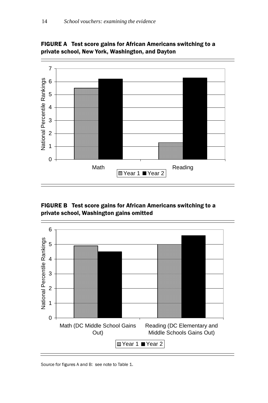

FIGURE A Test score gains for African Americans switching to a private school, New York, Washington, and Dayton

#### FIGURE B Test score gains for African Americans switching to a private school, Washington gains omitted



Source for figures A and B: see note to Table 1.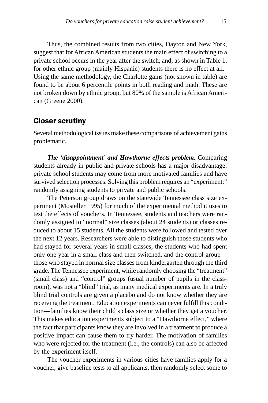Thus, the combined results from two cities, Dayton and New York, suggest that for African American students the main effect of switching to a private school occurs in the year after the switch, and, as shown in Table 1, for other ethnic group (mainly Hispanic) students there is no effect at all. Using the same methodology, the Charlotte gains (not shown in table) are found to be about 6 percentile points in both reading and math. These are not broken down by ethnic group, but 80% of the sample is African American (Greene 2000).

#### **Closer scrutiny**

Several methodological issues make these comparisons of achievement gains problematic.

*The 'disappointment' and Hawthorne effects problem.* Comparing students already in public and private schools has a major disadvantage: private school students may come from more motivated families and have survived selection processes. Solving this problem requires an "experiment:" randomly assigning students to private and public schools.

The Peterson group draws on the statewide Tennessee class size experiment (Mosteller 1995) for much of the experimental method it uses to test the effects of vouchers. In Tennessee, students and teachers were randomly assigned to "normal" size classes (about 24 students) or classes reduced to about 15 students. All the students were followed and tested over the next 12 years. Researchers were able to distinguish those students who had stayed for several years in small classes, the students who had spent only one year in a small class and then switched, and the control group those who stayed in normal size classes from kindergarten through the third grade. The Tennessee experiment, while randomly choosing the "treatment" (small class) and "control" groups (usual number of pupils in the classroom), was not a "blind" trial, as many medical experiments are. In a truly blind trial controls are given a placebo and do not know whether they are receiving the treatment. Education experiments can never fulfill this condition—families know their child's class size or whether they get a voucher. This makes education experiments subject to a "Hawthorne effect," where the fact that participants know they are involved in a treatment to produce a positive impact can cause them to try harder. The motivation of families who were rejected for the treatment (i.e., the controls) can also be affected by the experiment itself.

The voucher experiments in various cities have families apply for a voucher, give baseline tests to all applicants, then randomly select some to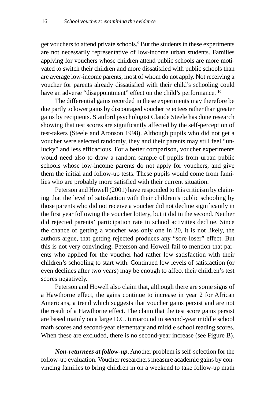get vouchers to attend private schools.<sup>9</sup> But the students in these experiments are not necessarily representative of low-income urban students. Families applying for vouchers whose children attend public schools are more motivated to switch their children and more dissatisfied with public schools than are average low-income parents, most of whom do not apply. Not receiving a voucher for parents already dissatisfied with their child's schooling could have an adverse "disappointment" effect on the child's performance. <sup>10</sup>

The differential gains recorded in these experiments may therefore be due partly to lower gains by discouraged voucher rejectees rather than greater gains by recipients. Stanford psychologist Claude Steele has done research showing that test scores are significantly affected by the self-perception of test-takers (Steele and Aronson 1998). Although pupils who did not get a voucher were selected randomly, they and their parents may still feel "unlucky" and less efficacious. For a better comparison, voucher experiments would need also to draw a random sample of pupils from urban public schools whose low-income parents do not apply for vouchers, and give them the initial and follow-up tests. These pupils would come from families who are probably more satisfied with their current situation.

Peterson and Howell (2001) have responded to this criticism by claiming that the level of satisfaction with their children's public schooling by those parents who did not receive a voucher did not decline significantly in the first year following the voucher lottery, but it did in the second. Neither did rejected parents' participation rate in school activities decline. Since the chance of getting a voucher was only one in 20, it is not likely, the authors argue, that getting rejected produces any "sore loser" effect. But this is not very convincing. Peterson and Howell fail to mention that parents who applied for the voucher had rather low satisfaction with their children's schooling to start with. Continued low levels of satisfaction (or even declines after two years) may be enough to affect their children's test scores negatively.

Peterson and Howell also claim that, although there are some signs of a Hawthorne effect, the gains continue to increase in year 2 for African Americans, a trend which suggests that voucher gains persist and are not the result of a Hawthorne effect. The claim that the test score gains persist are based mainly on a large D.C. turnaround in second-year middle school math scores and second-year elementary and middle school reading scores. When these are excluded, there is no second-year increase (see Figure B).

*Non-returnees at follow-up*. Another problem is self-selection for the follow-up evaluation. Voucher researchers measure academic gains by convincing families to bring children in on a weekend to take follow-up math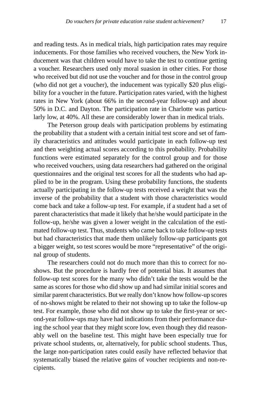and reading tests. As in medical trials, high participation rates may require inducements. For those families who received vouchers, the New York inducement was that children would have to take the test to continue getting a voucher. Researchers used only moral suasion in other cities. For those who received but did not use the voucher and for those in the control group (who did not get a voucher), the inducement was typically \$20 plus eligibility for a voucher in the future. Participation rates varied, with the highest rates in New York (about 66% in the second-year follow-up) and about 50% in D.C. and Dayton. The participation rate in Charlotte was particularly low, at 40%. All these are considerably lower than in medical trials.

The Peterson group deals with participation problems by estimating the probability that a student with a certain initial test score and set of family characteristics and attitudes would participate in each follow-up test and then weighting actual scores according to this probability. Probability functions were estimated separately for the control group and for those who received vouchers, using data researchers had gathered on the original questionnaires and the original test scores for all the students who had applied to be in the program. Using these probability functions, the students actually participating in the follow-up tests received a weight that was the inverse of the probability that a student with those characteristics would come back and take a follow-up test. For example, if a student had a set of parent characteristics that made it likely that he/she would participate in the follow-up, he/she was given a lower weight in the calculation of the estimated follow-up test. Thus, students who came back to take follow-up tests but had characteristics that made them unlikely follow-up participants got a bigger weight, so test scores would be more "representative" of the original group of students.

The researchers could not do much more than this to correct for noshows. But the procedure is hardly free of potential bias. It assumes that follow-up test scores for the many who didn't take the tests would be the same as scores for those who did show up and had similar initial scores and similar parent characteristics. But we really don't know how follow-up scores of no-shows might be related to their not showing up to take the follow-up test. For example, those who did not show up to take the first-year or second-year follow-ups may have had indications from their performance during the school year that they might score low, even though they did reasonably well on the baseline test. This might have been especially true for private school students, or, alternatively, for public school students. Thus, the large non-participation rates could easily have reflected behavior that systematically biased the relative gains of voucher recipients and non-recipients.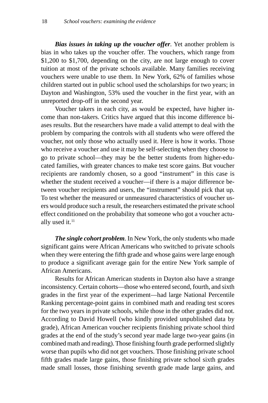*Bias issues in taking up the voucher offer*. Yet another problem is bias in who takes up the voucher offer*.* The vouchers, which range from \$1,200 to \$1,700, depending on the city, are not large enough to cover tuition at most of the private schools available. Many families receiving vouchers were unable to use them. In New York, 62% of families whose children started out in public school used the scholarships for two years; in Dayton and Washington, 53% used the voucher in the first year, with an unreported drop-off in the second year.

Voucher takers in each city, as would be expected, have higher income than non-takers. Critics have argued that this income difference biases results. But the researchers have made a valid attempt to deal with the problem by comparing the controls with all students who were offered the voucher, not only those who actually used it. Here is how it works. Those who receive a voucher and use it may be self-selecting when they choose to go to private school—they may be the better students from higher-educated families, with greater chances to make test score gains. But voucher recipients are randomly chosen, so a good "instrument" in this case is whether the student received a voucher—if there is a major difference between voucher recipients and users, the "instrument" should pick that up. To test whether the measured or unmeasured characteristics of voucher users would produce such a result, the researchers estimated the private school effect conditioned on the probability that someone who got a voucher actually used it. $11$ 

*The single cohort problem*. In New York, the only students who made significant gains were African Americans who switched to private schools when they were entering the fifth grade and whose gains were large enough to produce a significant average gain for the entire New York sample of African Americans.

Results for African American students in Dayton also have a strange inconsistency. Certain cohorts—those who entered second, fourth, and sixth grades in the first year of the experiment—had large National Percentile Ranking percentage-point gains in combined math and reading test scores for the two years in private schools, while those in the other grades did not. According to David Howell (who kindly provided unpublished data by grade), African American voucher recipients finishing private school third grades at the end of the study's second year made large two-year gains (in combined math and reading). Those finishing fourth grade performed slightly worse than pupils who did not get vouchers. Those finishing private school fifth grades made large gains, those finishing private school sixth grades made small losses, those finishing seventh grade made large gains, and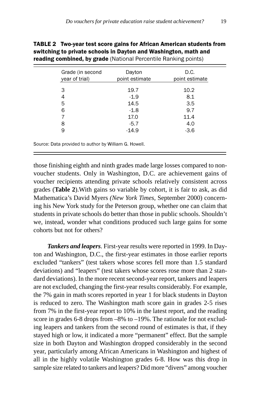| Grade (in second | Dayton         | D.C.           |
|------------------|----------------|----------------|
| year of trial)   | point estimate | point estimate |
| 3                | 19.7           | 10.2           |
| 4                | $-1.9$         | 8.1            |
| 5                | 14.5           | 3.5            |
| 6                | $-1.8$         | 9.7            |
|                  | 17.0           | 11.4           |
| 8                | $-5.7$         | 4.0            |
| 9                | $-14.9$        | $-3.6$         |

| <b>TABLE 2</b> Two-year test score gains for African American students from |
|-----------------------------------------------------------------------------|
| switching to private schools in Dayton and Washington, math and             |
| <b>reading combined, by grade</b> (National Percentile Ranking points)      |

Source: Data provided to author by William G. Howell.

those finishing eighth and ninth grades made large losses compared to nonvoucher students. Only in Washington, D.C. are achievement gains of voucher recipients attending private schools relatively consistent across grades (**Table 2**).With gains so variable by cohort, it is fair to ask, as did Mathematica's David Myers *(New York Times,* September 2000) concerning his New York study for the Peterson group, whether one can claim that students in private schools do better than those in public schools. Shouldn't we, instead, wonder what conditions produced such large gains for some cohorts but not for others?

*Tankers and leapers.* First-year results were reported in 1999. In Dayton and Washington, D.C., the first-year estimates in those earlier reports excluded "tankers" (test takers whose scores fell more than 1.5 standard deviations) and "leapers" (test takers whose scores rose more than 2 standard deviations). In the more recent second-year report, tankers and leapers are not excluded, changing the first-year results considerably. For example, the 7% gain in math scores reported in year 1 for black students in Dayton is reduced to zero. The Washington math score gain in grades 2-5 rises from 7% in the first-year report to 10% in the latest report, and the reading score in grades 6-8 drops from –8% to –19%. The rationale for not excluding leapers and tankers from the second round of estimates is that, if they stayed high or low, it indicated a more "permanent" effect. But the sample size in both Dayton and Washington dropped considerably in the second year, particularly among African Americans in Washington and highest of all in the highly volatile Washington grades 6-8. How was this drop in sample size related to tankers and leapers? Did more "divers" among voucher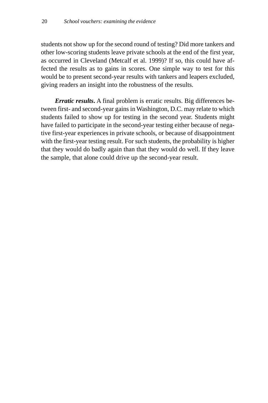students not show up for the second round of testing? Did more tankers and other low-scoring students leave private schools at the end of the first year, as occurred in Cleveland (Metcalf et al. 1999)? If so, this could have affected the results as to gains in scores. One simple way to test for this would be to present second-year results with tankers and leapers excluded, giving readers an insight into the robustness of the results.

*Erratic results***.** A final problem is erratic results. Big differences between first- and second-year gains in Washington, D.C. may relate to which students failed to show up for testing in the second year. Students might have failed to participate in the second-year testing either because of negative first-year experiences in private schools, or because of disappointment with the first-year testing result. For such students, the probability is higher that they would do badly again than that they would do well. If they leave the sample, that alone could drive up the second-year result.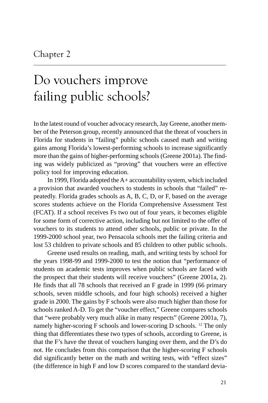### Do vouchers improve failing public schools?

In the latest round of voucher advocacy research, Jay Greene, another member of the Peterson group, recently announced that the threat of vouchers in Florida for students in "failing" public schools caused math and writing gains among Florida's lowest-performing schools to increase significantly more than the gains of higher-performing schools (Greene 2001a). The finding was widely publicized as "proving" that vouchers were an effective policy tool for improving education.

In 1999, Florida adopted the A+ accountability system, which included a provision that awarded vouchers to students in schools that "failed" repeatedly. Florida grades schools as A, B, C, D, or F, based on the average scores students achieve on the Florida Comprehensive Assessment Test (FCAT). If a school receives Fs two out of four years, it becomes eligible for some form of corrective action, including but not limited to the offer of vouchers to its students to attend other schools, public or private. In the 1999-2000 school year, two Pensacola schools met the failing criteria and lost 53 children to private schools and 85 children to other public schools.

Greene used results on reading, math, and writing tests by school for the years 1998-99 and 1999-2000 to test the notion that "performance of students on academic tests improves when public schools are faced with the prospect that their students will receive vouchers" (Greene 2001a, 2). He finds that all 78 schools that received an F grade in 1999 (66 primary schools, seven middle schools, and four high schools) received a higher grade in 2000. The gains by F schools were also much higher than those for schools ranked A-D. To get the "voucher effect," Greene compares schools that "were probably very much alike in many respects" (Greene 2001a, 7), namely higher-scoring F schools and lower-scoring D schools. 12 The only thing that differentiates these two types of schools, according to Greene, is that the F's have the threat of vouchers hanging over them, and the D's do not. He concludes from this comparison that the higher-scoring F schools did significantly better on the math and writing tests, with "effect sizes" (the difference in high F and low D scores compared to the standard devia-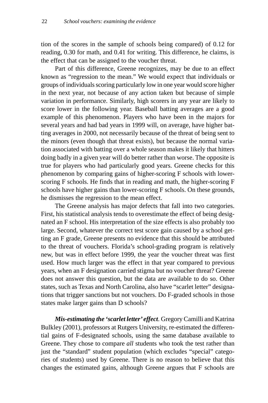tion of the scores in the sample of schools being compared) of 0.12 for reading, 0.30 for math, and 0.41 for writing. This difference, he claims, is the effect that can be assigned to the voucher threat.

Part of this difference, Greene recognizes, may be due to an effect known as "regression to the mean." We would expect that individuals or groups of individuals scoring particularly low in one year would score higher in the next year, not because of any action taken but because of simple variation in performance. Similarly, high scorers in any year are likely to score lower in the following year. Baseball batting averages are a good example of this phenomenon. Players who have been in the majors for several years and had bad years in 1999 will, on average, have higher batting averages in 2000, not necessarily because of the threat of being sent to the minors (even though that threat exists), but because the normal variation associated with batting over a whole season makes it likely that hitters doing badly in a given year will do better rather than worse. The opposite is true for players who had particularly good years. Greene checks for this phenomenon by comparing gains of higher-scoring F schools with lowerscoring F schools. He finds that in reading and math, the higher-scoring F schools have higher gains than lower-scoring F schools. On these grounds, he dismisses the regression to the mean effect.

The Greene analysis has major defects that fall into two categories. First, his statistical analysis tends to overestimate the effect of being designated an F school. His interpretation of the size effects is also probably too large. Second, whatever the correct test score gain caused by a school getting an F grade, Greene presents no evidence that this should be attributed to the threat of vouchers. Florida's school-grading program is relatively new, but was in effect before 1999, the year the voucher threat was first used. How much larger was the effect in that year compared to previous years, when an F designation carried stigma but no voucher threat? Greene does not answer this question, but the data are available to do so. Other states, such as Texas and North Carolina, also have "scarlet letter" designations that trigger sanctions but not vouchers. Do F-graded schools in those states make larger gains than D schools?

*Mis-estimating the 'scarlet letter' effect.* Gregory Camilli and Katrina Bulkley (2001), professors at Rutgers University, re-estimated the differential gains of F-designated schools, using the same database available to Greene. They chose to compare *all* students who took the test rather than just the "standard" student population (which excludes "special" categories of students) used by Greene. There is no reason to believe that this changes the estimated gains, although Greene argues that F schools are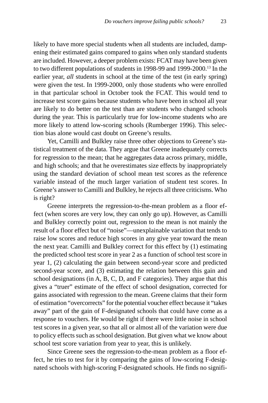likely to have more special students when all students are included, dampening their estimated gains compared to gains when only standard students are included. However, a deeper problem exists: FCAT may have been given to two different populations of students in 1998-99 and 1999-2000.13 In the earlier year, *all* students in school at the time of the test (in early spring) were given the test. In 1999-2000, only those students who were enrolled in that particular school in October took the FCAT. This would tend to increase test score gains because students who have been in school all year are likely to do better on the test than are students who changed schools during the year. This is particularly true for low-income students who are more likely to attend low-scoring schools (Rumberger 1996). This selection bias alone would cast doubt on Greene's results.

Yet, Camilli and Bulkley raise three other objections to Greene's statistical treatment of the data. They argue that Greene inadequately corrects for regression to the mean; that he aggregates data across primary, middle, and high schools; and that he overestimates size effects by inappropriately using the standard deviation of school mean test scores as the reference variable instead of the much larger variation of student test scores. In Greene's answer to Camilli and Bulkley, he rejects all three criticisms. Who is right?

Greene interprets the regression-to-the-mean problem as a floor effect (when scores are very low, they can only go up). However, as Camilli and Bulkley correctly point out, regression to the mean is not mainly the result of a floor effect but of "noise"—unexplainable variation that tends to raise low scores and reduce high scores in any give year toward the mean the next year. Camilli and Bulkley correct for this effect by (1) estimating the predicted school test score in year 2 as a function of school test score in year 1, (2) calculating the gain between second-year score and predicted second-year score, and (3) estimating the relation between this gain and school designations (in A, B, C, D, and F categories). They argue that this gives a "truer" estimate of the effect of school designation, corrected for gains associated with regression to the mean. Greene claims that their form of estimation "overcorrects" for the potential voucher effect because it "takes away" part of the gain of F-designated schools that could have come as a response to vouchers. He would be right if there were little noise in school test scores in a given year, so that all or almost all of the variation were due to policy effects such as school designation. But given what we know about school test score variation from year to year, this is unlikely.

Since Greene sees the regression-to-the-mean problem as a floor effect, he tries to test for it by comparing the gains of low-scoring F-designated schools with high-scoring F-designated schools. He finds no signifi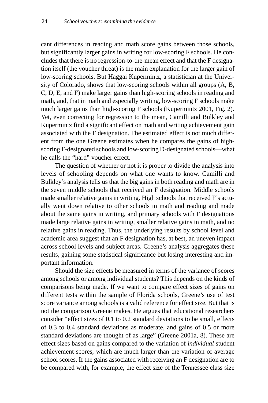cant differences in reading and math score gains between those schools, but significantly larger gains in writing for low-scoring F schools. He concludes that there is no regression-to-the-mean effect and that the F designation itself (the voucher threat) is the main explanation for the larger gain of low-scoring schools. But Haggai Kupermintz, a statistician at the University of Colorado, shows that low-scoring schools within all groups (A, B, C, D, E, and F) make larger gains than high-scoring schools in reading and math, and, that in math and especially writing, low-scoring F schools make much larger gains than high-scoring F schools (Kupermintz 2001, Fig. 2). Yet, even correcting for regression to the mean, Camilli and Bulkley and Kupermintz find a significant effect on math and writing achievement gain associated with the F designation. The estimated effect is not much different from the one Greene estimates when he compares the gains of highscoring F-designated schools and low-scoring D-designated schools—what he calls the "hard" voucher effect.

The question of whether or not it is proper to divide the analysis into levels of schooling depends on what one wants to know. Camilli and Bulkley's analysis tells us that the big gains in both reading and math are in the seven middle schools that received an F designation. Middle schools made smaller relative gains in writing. High schools that received F's actually went down relative to other schools in math and reading and made about the same gains in writing, and primary schools with F designations made large relative gains in writing, smaller relative gains in math, and no relative gains in reading. Thus, the underlying results by school level and academic area suggest that an F designation has, at best, an uneven impact across school levels and subject areas. Greene's analysis aggregates these results, gaining some statistical significance but losing interesting and important information.

Should the size effects be measured in terms of the variance of scores among schools or among individual students? This depends on the kinds of comparisons being made. If we want to compare effect sizes of gains on different tests within the sample of Florida schools, Greene's use of test score variance among schools is a valid reference for effect size. But that is not the comparison Greene makes. He argues that educational researchers consider "effect sizes of 0.1 to 0.2 standard deviations to be small, effects of 0.3 to 0.4 standard deviations as moderate, and gains of 0.5 or more standard deviations are thought of as large" (Greene 2001a, 8). These are effect sizes based on gains compared to the variation of *individual* student achievement scores, which are much larger than the variation of average school scores. If the gains associated with receiving an F designation are to be compared with, for example, the effect size of the Tennessee class size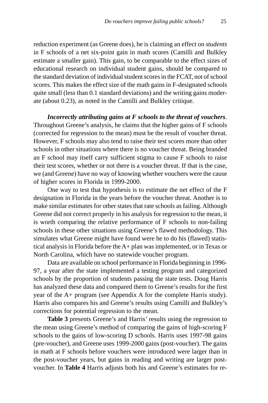reduction experiment (as Greene does), he is claiming an effect on *students* in F schools of a net six-point gain in math scores (Camilli and Bulkley estimate a smaller gain). This gain, to be comparable to the effect sizes of educational research on individual student gains, should be compared to the standard deviation of individual student scores in the FCAT, not of school scores. This makes the effect size of the math gains in F-designated schools quite small (less than 0.1 standard deviations) and the writing gains moderate (about 0.23), as noted in the Camilli and Bulkley critique.

*Incorrectly attributing gains at F schools to the threat of vouchers*. Throughout Greene's analysis, he claims that the higher gains of F schools (corrected for regression to the mean) must be the result of voucher threat. However, F schools may also tend to raise their test scores more than other schools in other situations where there is no voucher threat. Being branded an F school may itself carry sufficient stigma to cause F schools to raise their test scores, whether or not there is a voucher threat. If that is the case, we (and Greene) have no way of knowing whether vouchers were the cause of higher scores in Florida in 1999-2000.

One way to test that hypothesis is to estimate the net effect of the F designation in Florida in the years before the voucher threat. Another is to make similar estimates for other states that rate schools as failing. Although Greene did not correct properly in his analysis for regression to the mean, it is worth comparing the relative performance of F schools to non-failing schools in these other situations using Greene's flawed methodology. This simulates what Greene might have found were he to do his (flawed) statistical analysis in Florida before the A+ plan was implemented, or in Texas or North Carolina, which have no statewide voucher program.

Data are available on school performance in Florida beginning in 1996- 97, a year after the state implemented a testing program and categorized schools by the proportion of students passing the state tests. Doug Harris has analyzed these data and compared them to Greene's results for the first year of the A+ program (see Appendix A for the complete Harris study). Harris also compares his and Greene's results using Camilli and Bulkley's corrections for potential regression to the mean.

**Table 3** presents Greene's and Harris' results using the regression to the mean using Greene's method of comparing the gains of high-scoring F schools to the gains of low-scoring D schools. Harris uses 1997-98 gains (pre-voucher), and Greene uses 1999-2000 gains (post-voucher). The gains in math at F schools before vouchers were introduced were larger than in the post-voucher years, but gains in reading and writing are larger postvoucher. In **Table 4** Harris adjusts both his and Greene's estimates for re-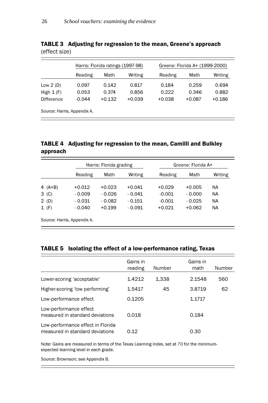|                             | Harris: Florida ratings (1997-98) |          |          |          | Greene: Florida A+ (1999-2000) |          |
|-----------------------------|-----------------------------------|----------|----------|----------|--------------------------------|----------|
|                             | Reading                           | Math     | Writing  | Reading  | Math                           | Writing  |
| Low $2(D)$                  | 0.097                             | 0.142    | 0.817    | 0.184    | 0.259                          | 0.694    |
| High $1(F)$                 | 0.053                             | 0.374    | 0.856    | 0.222    | 0.346                          | 0.882    |
| <b>Difference</b>           | $-0.044$                          | $+0.132$ | $+0.039$ | $+0.038$ | $+0.087$                       | $+0.186$ |
| Source: Harris, Appendix A. |                                   |          |          |          |                                |          |

TABLE 3 Adjusting for regression to the mean, Greene's approach (effect size)

#### TABLE 4 Adjusting for regression to the mean, Camilli and Bulkley approach

|           |          | Harris: Florida grading |          |          | Greene: Florida A+ |           |  |
|-----------|----------|-------------------------|----------|----------|--------------------|-----------|--|
|           | Reading  | Math                    | Writing  | Reading  | Math               | Writing   |  |
| 4 $(A+B)$ | $+0.012$ | $+0.023$                | $+0.041$ | $+0.029$ | $+0.005$           | <b>NA</b> |  |
| $3$ (C)   | $-0.009$ | $-0.026$                | $-0.041$ | $-0.001$ | $-0.000$           | <b>NA</b> |  |
| 2(D)      | $-0.031$ | $-0.082$                | $-0.151$ | $-0.001$ | $-0.025$           | <b>NA</b> |  |
| $1$ (F)   | $-0.040$ | $+0.199$                | $-0.091$ | $+0.021$ | $+0.062$           | <b>NA</b> |  |

Source: Harris, Appendix A.

#### TABLE 5 Isolating the effect of a low-performance rating, Texas

|                                                                      | Gains in<br>reading | Number | Gains in<br>math | Number |
|----------------------------------------------------------------------|---------------------|--------|------------------|--------|
| Lower-scoring 'acceptable'                                           | 1.4212              | 1,338  | 2.1548           | 560    |
| Higher-scoring 'low performing'                                      | 1.5417              | 45     | 3.8719           | 62     |
| Low-performance effect                                               | 0.1205              |        | 1.1717           |        |
| Low-performance effect<br>measured in standard deviations            | 0.018               |        | 0.184            |        |
| Low-performance effect in Florida<br>measured in standard deviations | 0.12                |        | 0.30             |        |

Note: Gains are measured in terms of the Texas Learning Index, set at 70 for the minimumexpected learning level in each grade.

Source: Brownson; see Appendix B.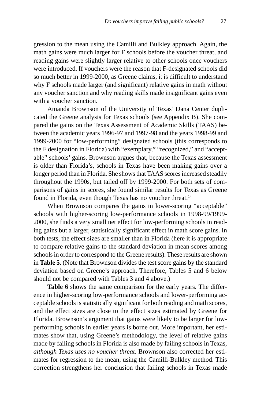gression to the mean using the Camilli and Bulkley approach. Again, the math gains were much larger for F schools before the voucher threat, and reading gains were slightly larger relative to other schools once vouchers were introduced. If vouchers were the reason that F-designated schools did so much better in 1999-2000, as Greene claims, it is difficult to understand why F schools made larger (and significant) relative gains in math without any voucher sanction and why reading skills made insignificant gains even with a voucher sanction.

Amanda Brownson of the University of Texas' Dana Center duplicated the Greene analysis for Texas schools (see Appendix B). She compared the gains on the Texas Assessment of Academic Skills (TAAS) between the academic years 1996-97 and 1997-98 and the years 1998-99 and 1999-2000 for "low-performing" designated schools (this corresponds to the F designation in Florida) with "exemplary," "recognized," and "acceptable" schools' gains. Brownson argues that, because the Texas assessment is older than Florida's, schools in Texas have been making gains over a longer period than in Florida. She shows that TAAS scores increased steadily throughout the 1990s, but tailed off by 1999-2000. For both sets of comparisons of gains in scores, she found similar results for Texas as Greene found in Florida, even though Texas has no voucher threat.<sup>14</sup>

When Brownson compares the gains in lower-scoring "acceptable" schools with higher-scoring low-performance schools in 1998-99/1999- 2000, she finds a very small net effect for low-performing schools in reading gains but a larger, statistically significant effect in math score gains. In both tests, the effect sizes are smaller than in Florida (here it is appropriate to compare relative gains to the standard deviation in mean scores among schools in order to correspond to the Greene results). These results are shown in **Table 5**. (Note that Brownson divides the test score gains by the standard deviation based on Greene's approach. Therefore, Tables 5 and 6 below should not be compared with Tables 3 and 4 above.)

Table 6 shows the same comparison for the early years. The difference in higher-scoring low-performance schools and lower-performing acceptable schools is statistically significant for both reading and math scores, and the effect sizes are close to the effect sizes estimated by Greene for Florida. Brownson's argument that gains were likely to be larger for lowperforming schools in earlier years is borne out. More important, her estimates show that, using Greene's methodology, the level of relative gains made by failing schools in Florida is also made by failing schools in Texas, *although Texas uses no voucher threat.* Brownson also corrected her estimates for regression to the mean, using the Camilli-Bulkley method. This correction strengthens her conclusion that failing schools in Texas made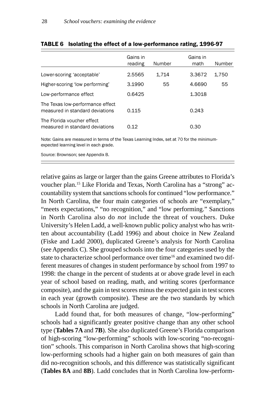|                                                                     | Gains in<br>reading | Number | Gains in<br>math | Number |
|---------------------------------------------------------------------|---------------------|--------|------------------|--------|
| Lower-scoring 'acceptable'                                          | 2.5565              | 1.714  | 3.3672           | 1.750  |
| Higher-scoring 'low performing'                                     | 3.1990              | 55     | 4.6690           | 55     |
| Low-performance effect                                              | 0.6425              |        | 1.3018           |        |
| The Texas low-performance effect<br>measured in standard deviations | 0.115               |        | 0.243            |        |
| The Florida voucher effect<br>measured in standard deviations       | 0.12                |        | 0.30             |        |

#### TABLE 6 Isolating the effect of a low-performance rating, 1996-97

Note: Gains are measured in terms of the Texas Learning Index, set at 70 for the minimumexpected learning level in each grade.

Source: Brownson; see Appendix B.

relative gains as large or larger than the gains Greene attributes to Florida's voucher plan.15 Like Florida and Texas, North Carolina has a "strong" accountability system that sanctions schools for continued "low performance." In North Carolina, the four main categories of schools are "exemplary," "meets expectations," "no recognition," and "low performing." Sanctions in North Carolina also do *not* include the threat of vouchers. Duke University's Helen Ladd, a well-known public policy analyst who has written about accountability (Ladd 1996) and about choice in New Zealand (Fiske and Ladd 2000), duplicated Greene's analysis for North Carolina (see Appendix C). She grouped schools into the four categories used by the state to characterize school performance over time<sup>16</sup> and examined two different measures of changes in student performance by school from 1997 to 1998: the change in the percent of students at or above grade level in each year of school based on reading, math, and writing scores (performance composite), and the gain in test scores minus the expected gain in test scores in each year (growth composite). These are the two standards by which schools in North Carolina are judged.

Ladd found that, for both measures of change, "low-performing" schools had a significantly greater positive change than any other school type (**Tables 7A** and **7B**). She also duplicated Greene's Florida comparison of high-scoring "low-performing" schools with low-scoring "no-recognition" schools. This comparison in North Carolina shows that high-scoring low-performing schools had a higher gain on both measures of gain than did no-recognition schools, and this difference was statistically significant (**Tables 8A** and **8B**). Ladd concludes that in North Carolina low-perform-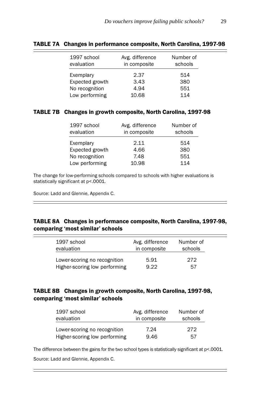114

| 1997 school<br>evaluation | Avg. difference<br>in composite | Number of<br>schools |
|---------------------------|---------------------------------|----------------------|
| Exemplary                 | 2.37                            | 514                  |
| Expected growth           | 3.43                            | 380                  |
| No recognition            | 4.94                            | 551                  |

10.68

#### TABLE 7A Changes in performance composite, North Carolina, 1997-98

#### TABLE 7B Changes in growth composite, North Carolina, 1997-98

No recognition

Low performing

| 1997 school<br>evaluation | Avg. difference<br>in composite | Number of<br>schools |
|---------------------------|---------------------------------|----------------------|
| Exemplary                 | 2.11                            | 514                  |
| Expected growth           | 4.66                            | 380                  |
| No recognition            | 7.48                            | 551                  |
| Low performing            | 10.98                           | 114                  |

The change for low-performing schools compared to schools with higher evaluations is statistically significant at p<.0001.

Source: Ladd and Glennie, Appendix C.

#### TABLE 8A Changes in performance composite, North Carolina, 1997-98, comparing 'most similar' schools

| 1997 school                   | Avg. difference | Number of |
|-------------------------------|-----------------|-----------|
| evaluation                    | in composite    | schools   |
| Lower-scoring no recognition  | 5.91            | 272       |
| Higher-scoring low performing | 9.22            | 57        |

#### TABLE 8B Changes in growth composite, North Carolina, 1997-98, comparing 'most similar' schools

| 1997 school                   | Avg. difference | Number of |
|-------------------------------|-----------------|-----------|
| evaluation                    | in composite    | schools   |
| Lower-scoring no recognition  | 7.24            | 272       |
| Higher-scoring low performing | 9.46            | 57        |

The difference between the gains for the two school types is statistically significant at  $p$ <.0001. Source: Ladd and Glennie, Appendix C.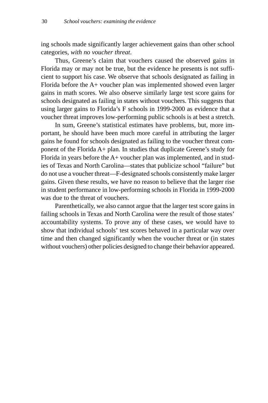ing schools made significantly larger achievement gains than other school categories, *with no voucher threat*.

Thus, Greene's claim that vouchers caused the observed gains in Florida may or may not be true, but the evidence he presents is not sufficient to support his case. We observe that schools designated as failing in Florida before the A+ voucher plan was implemented showed even larger gains in math scores. We also observe similarly large test score gains for schools designated as failing in states without vouchers. This suggests that using larger gains to Florida's F schools in 1999-2000 as evidence that a voucher threat improves low-performing public schools is at best a stretch.

In sum, Greene's statistical estimates have problems, but, more important, he should have been much more careful in attributing the larger gains he found for schools designated as failing to the voucher threat component of the Florida A+ plan. In studies that duplicate Greene's study for Florida in years before the A+ voucher plan was implemented, and in studies of Texas and North Carolina—states that publicize school "failure" but do not use a voucher threat—F-designated schools consistently make larger gains. Given these results, we have no reason to believe that the larger rise in student performance in low-performing schools in Florida in 1999-2000 was due to the threat of vouchers.

Parenthetically, we also cannot argue that the larger test score gains in failing schools in Texas and North Carolina were the result of those states' accountability systems. To prove any of these cases, we would have to show that individual schools' test scores behaved in a particular way over time and then changed significantly when the voucher threat or (in states without vouchers) other policies designed to change their behavior appeared.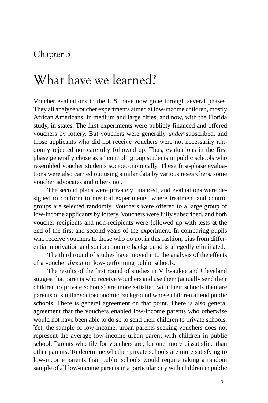# What have we learned?

Voucher evaluations in the U.S. have now gone through several phases. They all analyze voucher experiments aimed at low-income children, mostly African Americans, in medium and large cities, and now, with the Florida study, in states. The first experiments were publicly financed and offered vouchers by lottery. But vouchers were generally *under*-subscribed, and those applicants who did not receive vouchers were not necessarily randomly rejected nor carefully followed up. Thus, evaluations in the first phase generally chose as a "control" group students in public schools who resembled voucher students socioeconomically. These first-phase evaluations were also carried out using similar data by various researchers, some voucher advocates and others not.

The second plans were privately financed, and evaluations were designed to conform to medical experiments, where treatment and control groups are selected randomly. Vouchers were offered to a large group of low-income applicants by lottery. Vouchers were fully subscribed, and both voucher recipients and non-recipients were followed up with tests at the end of the first and second years of the experiment. In comparing pupils who receive vouchers to those who do not in this fashion, bias from differential motivation and socioeconomic background is allegedly eliminated.

The third round of studies have moved into the analysis of the effects of a voucher *threat* on low-performing public schools.

The results of the first round of studies in Milwaukee and Cleveland suggest that parents who receive vouchers and use them (actually send their children to private schools) are more satisfied with their schools than are parents of similar socioeconomic background whose children attend public schools. There is general agreement on that point. There is also general agreement that the vouchers enabled low-income parents who otherwise would not have been able to do so to send their children to private schools. Yet, the sample of low-income, urban parents seeking vouchers does not represent the average low-income urban parent with children in public school. Parents who file for vouchers are, for one, more dissatisfied than other parents. To determine whether private schools are more satisfying to low-income parents than public schools would require taking a random sample of all low-income parents in a particular city with children in public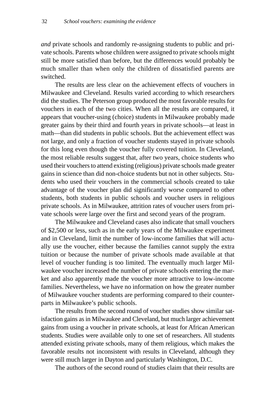*and* private schools and randomly re-assigning students to public and private schools. Parents whose children were assigned to private schools might still be more satisfied than before, but the differences would probably be much smaller than when only the children of dissatisfied parents are switched.

The results are less clear on the achievement effects of vouchers in Milwaukee and Cleveland. Results varied according to which researchers did the studies. The Peterson group produced the most favorable results for vouchers in each of the two cities. When all the results are compared, it appears that voucher-using (choice) students in Milwaukee probably made greater gains by their third and fourth years in private schools—at least in math—than did students in public schools. But the achievement effect was not large, and only a fraction of voucher students stayed in private schools for this long even though the voucher fully covered tuition. In Cleveland, the most reliable results suggest that, after two years, choice students who used their vouchers to attend existing (religious) private schools made greater gains in science than did non-choice students but not in other subjects. Students who used their vouchers in the commercial schools created to take advantage of the voucher plan did significantly worse compared to other students, both students in public schools and voucher users in religious private schools. As in Milwaukee, attrition rates of voucher users from private schools were large over the first and second years of the program.

The Milwaukee and Cleveland cases also indicate that small vouchers of \$2,500 or less, such as in the early years of the Milwaukee experiment and in Cleveland, limit the number of low-income families that will actually use the voucher, either because the families cannot supply the extra tuition or because the number of private schools made available at that level of voucher funding is too limited. The eventually much larger Milwaukee voucher increased the number of private schools entering the market and also apparently made the voucher more attractive to low-income families. Nevertheless, we have no information on how the greater number of Milwaukee voucher students are performing compared to their counterparts in Milwaukee's public schools.

The results from the second round of voucher studies show similar satisfaction gains as in Milwaukee and Cleveland, but much larger achievement gains from using a voucher in private schools, at least for African American students. Studies were available only to one set of researchers. All students attended existing private schools, many of them religious, which makes the favorable results not inconsistent with results in Cleveland, although they were still much larger in Dayton and particularly Washington, D.C.

The authors of the second round of studies claim that their results are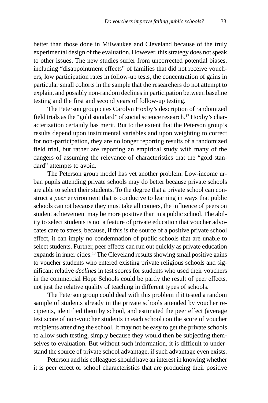better than those done in Milwaukee and Cleveland because of the truly experimental design of the evaluation. However, this strategy does not speak to other issues. The new studies suffer from uncorrected potential biases, including "disappointment effects" of families that did not receive vouchers, low participation rates in follow-up tests, the concentration of gains in particular small cohorts in the sample that the researchers do not attempt to explain, and possibly non-random declines in participation between baseline testing and the first and second years of follow-up testing.

The Peterson group cites Carolyn Hoxby's description of randomized field trials as the "gold standard" of social science research.17 Hoxby's characterization certainly has merit. But to the extent that the Peterson group's results depend upon instrumental variables and upon weighting to correct for non-participation, they are no longer reporting results of a randomized field trial, but rather are reporting an empirical study with many of the dangers of assuming the relevance of characteristics that the "gold standard" attempts to avoid.

The Peterson group model has yet another problem. Low-income urban pupils attending private schools may do better because private schools are able to select their students. To the degree that a private school can construct a *peer* environment that is conducive to learning in ways that public schools cannot because they must take all comers, the influence of peers on student achievement may be more positive than in a public school. The ability to select students is not a feature of private education that voucher advocates care to stress, because, if this is the source of a positive private school effect, it can imply no condemnation of public schools that are unable to select students. Further, peer effects can run out quickly as private education expands in inner cities.18 The Cleveland results showing small positive gains to voucher students who entered existing private religious schools and significant relative *declines* in test scores for students who used their vouchers in the commercial Hope Schools could be partly the result of peer effects, not just the relative quality of teaching in different types of schools.

The Peterson group could deal with this problem if it tested a random sample of students already in the private schools attended by voucher recipients, identified them by school, and estimated the peer effect (average test score of non-voucher students in each school) on the score of voucher recipients attending the school. It may not be easy to get the private schools to allow such testing, simply because they would then be subjecting themselves to evaluation. But without such information, it is difficult to understand the source of private school advantage, if such advantage even exists.

Peterson and his colleagues should have an interest in knowing whether it is peer effect or school characteristics that are producing their positive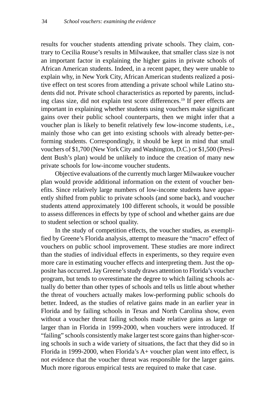results for voucher students attending private schools. They claim, contrary to Cecilia Rouse's results in Milwaukee, that smaller class size is not an important factor in explaining the higher gains in private schools of African American students. Indeed, in a recent paper, they were unable to explain why, in New York City, African American students realized a positive effect on test scores from attending a private school while Latino students did not. Private school characteristics as reported by parents, including class size, did not explain test score differences.<sup>19</sup> If peer effects are important in explaining whether students using vouchers make significant gains over their public school counterparts, then we might infer that a voucher plan is likely to benefit relatively few low-income students, i.e., mainly those who can get into existing schools with already better-performing students. Correspondingly, it should be kept in mind that small vouchers of \$1,700 (New York City and Washington, D.C.) or \$1,500 (President Bush's plan) would be unlikely to induce the creation of many new private schools for low-income voucher students.

Objective evaluations of the currently much larger Milwaukee voucher plan would provide additional information on the extent of voucher benefits. Since relatively large numbers of low-income students have apparently shifted from public to private schools (and some back), and voucher students attend approximately 100 different schools, it would be possible to assess differences in effects by type of school and whether gains are due to student selection or school quality.

In the study of competition effects, the voucher studies, as exemplified by Greene's Florida analysis, attempt to measure the "macro" effect of vouchers on public school improvement. These studies are more indirect than the studies of individual effects in experiments, so they require even more care in estimating voucher effects and interpreting them. Just the opposite has occurred. Jay Greene's study draws attention to Florida's voucher program, but tends to overestimate the degree to which failing schools actually do better than other types of schools and tells us little about whether the threat of vouchers actually makes low-performing public schools do better. Indeed, as the studies of relative gains made in an earlier year in Florida and by failing schools in Texas and North Carolina show, even without a voucher threat failing schools made relative gains as large or larger than in Florida in 1999-2000, when vouchers were introduced. If "failing" schools consistently make larger test score gains than higher-scoring schools in such a wide variety of situations, the fact that they did so in Florida in 1999-2000, when Florida's A+ voucher plan went into effect, is not evidence that the voucher threat was responsible for the larger gains. Much more rigorous empirical tests are required to make that case.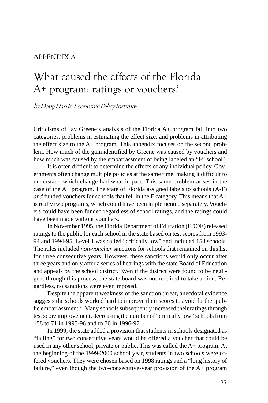#### APPENDIX A

### What caused the effects of the Florida A+ program: ratings or vouchers?

by Doug Harris, Economic Policy Institute

Criticisms of Jay Greene's analysis of the Florida A+ program fall into two categories: problems in estimating the effect size, and problems in attributing the effect size to the A+ program. This appendix focuses on the second problem. How much of the gain identified by Greene was caused by vouchers and how much was caused by the embarrassment of being labeled an "F" school?

It is often difficult to determine the effects of any individual policy. Governments often change multiple policies at the same time, making it difficult to understand which change had what impact. This same problem arises in the case of the A+ program. The state of Florida assigned labels to schools (A-F) *and* funded vouchers for schools that fell in the F category. This means that A+ is really two programs, which could have been implemented separately. Vouchers could have been funded regardless of school ratings, and the ratings could have been made without vouchers.

In November 1995, the Florida Department of Education (FDOE) released ratings to the public for each school in the state based on test scores from 1993- 94 and 1994-95. Level 1 was called "critically low" and included 158 schools. The rules included *non-voucher* sanctions for schools that remained on this list for three consecutive years. However, these sanctions would only occur after three years and only after a series of hearings with the state Board of Education and appeals by the school district. Even if the district were found to be negligent through this process, the state board was not required to take action. Regardless, no sanctions were ever imposed.

Despite the apparent weakness of the sanction threat, anecdotal evidence suggests the schools worked hard to improve their scores to avoid further public embarrassment.<sup>20</sup> Many schools subsequently increased their ratings through test score improvement, decreasing the number of "critically low" schools from 158 to 71 in 1995-96 and to 30 in 1996-97.

In 1999, the state added a provision that students in schools designated as "failing" for two consecutive years would be offered a voucher that could be used in any other school, private or public. This was called the A+ program. At the beginning of the 1999-2000 school year, students in two schools were offered vouchers. They were chosen based on 1998 ratings and a "long history of failure," even though the two-consecutive-year provision of the A+ program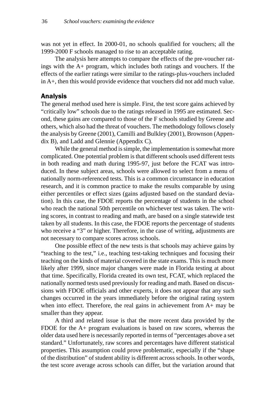was not yet in effect. In 2000-01, no schools qualified for vouchers; all the 1999-2000 F schools managed to rise to an acceptable rating.

The analysis here attempts to compare the effects of the pre-voucher ratings with the A+ program, which includes both ratings and vouchers. If the effects of the earlier ratings were similar to the ratings-plus-vouchers included in A+, then this would provide evidence that vouchers did not add much value.

#### **Analvsis**

The general method used here is simple. First, the test score gains achieved by "critically low" schools due to the ratings released in 1995 are estimated. Second, these gains are compared to those of the F schools studied by Greene and others, which also had the threat of vouchers. The methodology follows closely the analysis by Greene (2001), Camilli and Bulkley (2001), Brownson (Appendix B), and Ladd and Glennie (Appendix C).

While the general method is simple, the implementation is somewhat more complicated. One potential problem is that different schools used different tests in both reading and math during 1995-97, just before the FCAT was introduced. In these subject areas, schools were allowed to select from a menu of nationally norm-referenced tests. This is a common circumstance in education research, and it is common practice to make the results comparable by using either percentiles or effect sizes (gains adjusted based on the standard deviation). In this case, the FDOE reports the percentage of students in the school who reach the national 50th percentile on whichever test was taken. The writing scores, in contrast to reading and math, are based on a single statewide test taken by all students. In this case, the FDOE reports the percentage of students who receive a "3" or higher. Therefore, in the case of writing, adjustments are not necessary to compare scores across schools.

One possible effect of the new tests is that schools may achieve gains by "teaching to the test," i.e., teaching test-taking techniques and focusing their teaching on the kinds of material covered in the state exams. This is much more likely after 1999, since major changes were made in Florida testing at about that time. Specifically, Florida created its own test, FCAT, which replaced the nationally normed tests used previously for reading and math. Based on discussions with FDOE officials and other experts, it does not appear that any such changes occurred in the years immediately before the original rating system when into effect. Therefore, the real gains in achievement from A+ may be smaller than they appear.

A third and related issue is that the more recent data provided by the FDOE for the A+ program evaluations is based on raw scores, whereas the older data used here is necessarily reported in terms of "percentages above a set standard." Unfortunately, raw scores and percentages have different statistical properties. This assumption could prove problematic, especially if the "shape of the distribution" of student ability is different across schools. In other words, the test score average across schools can differ, but the variation around that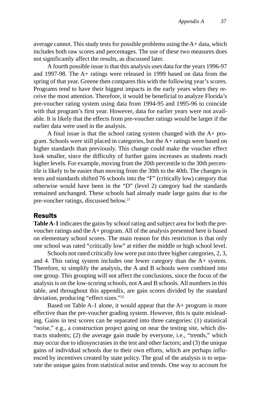average cannot. This study tests for possible problems using the A+ data, which includes both raw scores and percentages. The use of these two measures does not significantly affect the results, as discussed later.

A fourth possible issue is that this analysis uses data for the years 1996-97 and 1997-98. The A+ ratings were released in 1999 based on data from the spring of that year. Greene then compares this with the following year's scores. Programs tend to have their biggest impacts in the early years when they receive the most attention. Therefore, it would be beneficial to analyze Florida's pre-voucher rating system using data from 1994-95 and 1995-96 to coincide with that program's first year. However, data for earlier years were not available. It is likely that the effects from pre-voucher ratings would be larger if the earlier data were used in the analysis.

A final issue is that the school rating system changed with the A+ program. Schools were still placed in categories, but the A+ ratings were based on higher standards than previously. This change could make the voucher effect look smaller, since the difficulty of further gains increases as students reach higher levels. For example, moving from the 20th percentile to the 30th percentile is likely to be easier than moving from the 30th to the 40th. The changes in tests and standards shifted 76 schools into the "F" (critically low) category that otherwise would have been in the "D" (level 2) category had the standards remained unchanged. These schools had already made large gains due to the pre-voucher ratings, discussed below.21

#### **Results**

**Table A-1** indicates the gains by school rating and subject area for both the prevoucher ratings and the A+ program. All of the analysis presented here is based on elementary school scores. The main reason for this restriction is that only one school was rated "critically low" at either the middle or high school level.

Schools not rated critically low were put into three higher categories, 2, 3, and 4. This rating system includes one fewer category than the A+ system. Therefore, to simplify the analysis, the A and B schools were combined into one group. This grouping will not affect the conclusions, since the focus of the analysis is on the low-scoring schools, not A and B schools. All numbers in this table, and throughout this appendix, are gain scores divided by the standard deviation, producing "effect sizes."22

Based on Table A-1 alone, it would appear that the A+ program is more effective than the pre-voucher grading system. However, this is quite misleading. Gains in test scores can be separated into three categories: (1) statistical "noise," e.g., a construction project going on near the testing site, which distracts students; (2) the average gain made by everyone, i.e., "trends," which may occur due to idiosyncrasies in the test and other factors; and (3) the unique gains of individual schools due to their own efforts, which are perhaps influenced by incentives created by state policy. The goal of the analysis is to separate the unique gains from statistical noise and trends. One way to account for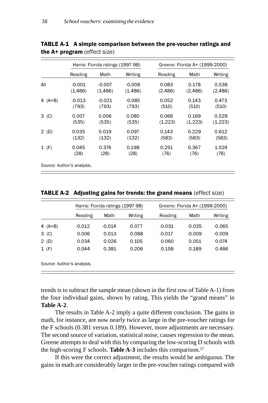|           | Harris: Florida ratings (1997-98) |          |          | Greene: Florida A+ (1999-2000) |         |         |
|-----------|-----------------------------------|----------|----------|--------------------------------|---------|---------|
|           | Reading                           | Math     | Writing  | Reading                        | Math    | Writing |
| All       | $-0.001$                          | $-0.007$ | $-0.008$ | 0.083                          | 0.178   | 0.538   |
|           | (1, 486)                          | (1, 486) | (1,486)  | (2,486)                        | (2,486) | (2,486) |
| 4 $(A+B)$ | $-0.013$                          | $-0.021$ | $-0.085$ | 0.052                          | 0.143   | 0.473   |
|           | (793)                             | (793)    | (793)    | (510)                          | (510)   | (510)   |
| $3$ (C)   | 0.007                             | 0.006    | 0.080    | 0.066                          | 0.169   | 0.529   |
|           | (535)                             | (535)    | (535)    | (1,223)                        | (1,223) | (1,223) |
| 2(D)      | 0.035                             | 0.019    | 0.097    | 0.143                          | 0.229   | 0.612   |
|           | (132)                             | (132)    | (132)    | (583)                          | (583)   | (583)   |
| 1(F)      | 0.045                             | 0.374    | 0.198    | 0.251                          | 0.367   | 1.024   |
|           | (28)                              | (28)     | (28)     | (76)                           | (76)    | (76)    |

**TABLE A-1** A simple comparison between the pre-voucher ratings and the A+ program (effect size)

|  |  | TABLE A-2 Adjusting gains for trends: the grand means (effect size) |  |
|--|--|---------------------------------------------------------------------|--|
|--|--|---------------------------------------------------------------------|--|

|           | Harris: Florida ratings (1997-98) |          | Greene: Florida A+ (1999-2000) |          |          |          |
|-----------|-----------------------------------|----------|--------------------------------|----------|----------|----------|
|           | Reading                           | Math     | Writing                        | Reading  | Math     | Writing  |
| 4 $(A+B)$ | $-0.012$                          | $-0.014$ | $-0.077$                       | $-0.031$ | $-0.035$ | $-0.065$ |
| $3$ (C)   | 0.006                             | 0.013    | 0.088                          | $-0.017$ | $-0.009$ | $-0.009$ |
| 2(D)      | 0.034                             | 0.026    | 0.105                          | 0.060    | 0.051    | 0.074    |
| $1$ (F)   | 0.044                             | 0.381    | 0.206                          | 0.158    | 0.189    | 0.486    |
|           |                                   |          |                                |          |          |          |

Source: Author's analysis.

trends is to subtract the sample mean (shown in the first row of Table A-1) from the four individual gains, shown by rating. This yields the "grand means" in Table A-2.

The results in Table A-2 imply a quite different conclusion. The gains in math, for instance, are now nearly twice as large in the pre-voucher ratings for the F schools (0.381 versus 0.189). However, more adjustments are necessary. The second source of variation, statistical noise, causes regression to the mean. Greene attempts to deal with this by comparing the low-scoring D schools with the high-scoring  $F$  schools. Table A-3 includes this comparison.<sup>23</sup>

If this were the correct adjustment, the results would be ambiguous. The gains in math are considerably larger in the pre-voucher ratings compared with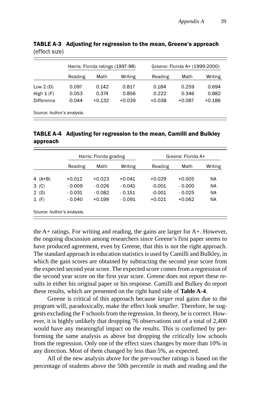|                   | Harris: Florida ratings (1997-98) |          |          | Greene: Florida A+ (1999-2000) |          |          |
|-------------------|-----------------------------------|----------|----------|--------------------------------|----------|----------|
|                   | Reading                           | Math     | Writing  | Reading                        | Math     | Writing  |
| Low $2(D)$        | 0.097                             | 0.142    | 0.817    | 0.184                          | 0.259    | 0.694    |
| High $1(F)$       | 0.053                             | 0.374    | 0.856    | 0.222                          | 0.346    | 0.882    |
| <b>Difference</b> | $-0.044$                          | $+0.132$ | $+0.039$ | $+0.038$                       | $+0.087$ | $+0.186$ |

TABLE A-3 Adjusting for regression to the mean, Greene's approach (effect size)

TABLE A-4 Adjusting for regression to the mean, Camilli and Bulkley approach

|           |                            | Harris: Florida grading |          | Greene: Florida A+ |          |           |  |
|-----------|----------------------------|-------------------------|----------|--------------------|----------|-----------|--|
|           | Reading                    | Math                    | Writing  | Reading            | Math     | Writing   |  |
| 4 $(A+B)$ | $+0.012$                   | $+0.023$                | $+0.041$ | $+0.029$           | $+0.005$ | <b>NA</b> |  |
| $3$ (C)   | $-0.009$                   | $-0.026$                | $-0.041$ | $-0.001$           | $-0.000$ | <b>NA</b> |  |
| 2(D)      | $-0.031$                   | $-0.082$                | $-0.151$ | $-0.001$           | $-0.025$ | <b>NA</b> |  |
| $1$ (F)   | $-0.040$                   | $+0.199$                | $-0.091$ | $+0.021$           | $+0.062$ | <b>NA</b> |  |
|           | Source: Author's analysis. |                         |          |                    |          |           |  |

the A+ ratings. For writing and reading, the gains are larger for A+. However, the ongoing discussion among researchers since Greene's first paper seems to have produced agreement, even by Greene, that this is not the right approach. The standard approach in education statistics is used by Camilli and Bulkley, in which the gain scores are obtained by subtracting the second year score from the expected second year score. The expected score comes from a regression of the second year score on the first year score. Greene does not report these results in either his original paper or his response. Camilli and Bulkey do report these results, which are presented on the right hand side of **Table A-4**.

Greene is critical of this approach because *larger* real gains due to the program will, paradoxically, make the effect look *smaller*. Therefore, he suggests excluding the F schools from the regression. In theory, he is correct. However, it is highly unlikely that dropping 76 observations out of a total of 2,400 would have any meaningful impact on the results. This is confirmed by performing the same analysis as above but dropping the critically low schools from the regression. Only one of the effect sizes changes by more than 10% in any direction. Most of them changed by less than 5%, as expected.

All of the new analysis above for the pre-voucher ratings is based on the percentage of students above the 50th percentile in math and reading and the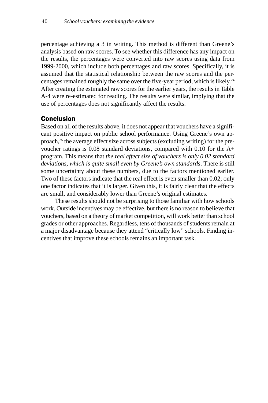percentage achieving a 3 in writing. This method is different than Greene's analysis based on raw scores. To see whether this difference has any impact on the results, the percentages were converted into raw scores using data from 1999-2000, which include both percentages and raw scores. Specifically, it is assumed that the statistical relationship between the raw scores and the percentages remained roughly the same over the five-year period, which is likely.<sup>24</sup> After creating the estimated raw scores for the earlier years, the results in Table A-4 were re-estimated for reading. The results were similar, implying that the use of percentages does not significantly affect the results.

#### **Conclusion**

Based on all of the results above, it does not appear that vouchers have a significant positive impact on public school performance. Using Greene's own approach,<sup>25</sup> the average effect size across subjects (excluding writing) for the prevoucher ratings is 0.08 standard deviations, compared with 0.10 for the A+ program. This means that *the real effect size of vouchers is only 0.02 standard deviations, which is quite small even by Greene's own standards*. There is still some uncertainty about these numbers, due to the factors mentioned earlier. Two of these factors indicate that the real effect is even smaller than 0.02; only one factor indicates that it is larger. Given this, it is fairly clear that the effects are small, and considerably lower than Greene's original estimates.

These results should not be surprising to those familiar with how schools work. Outside incentives may be effective, but there is no reason to believe that vouchers, based on a theory of market competition, will work better than school grades or other approaches. Regardless, tens of thousands of students remain at a major disadvantage because they attend "critically low" schools. Finding incentives that improve these schools remains an important task.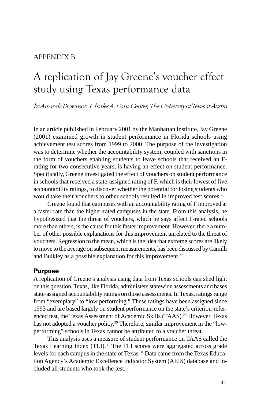### A replication of Jay Greene's voucher effect study using Texas performance data

by Amanda Brownson, Charles A. Dana Center, The University of Texas at Austin

In an article published in February 2001 by the Manhattan Institute, Jay Greene (2001) examined growth in student performance in Florida schools using achievement test scores from 1999 to 2000. The purpose of the investigation was to determine whether the accountability system, coupled with sanctions in the form of vouchers enabling students to leave schools that received an Frating for two consecutive years, is having an effect on student performance. Specifically, Greene investigated the effect of vouchers on student performance in schools that received a state-assigned rating of F, which is their lowest of five accountability ratings, to discover whether the potential for losing students who would take their vouchers to other schools resulted in improved test scores.<sup>26</sup>

Greene found that campuses with an accountability rating of F improved at a faster rate than the higher-rated campuses in the state. From this analysis, he hypothesized that the threat of vouchers, which he says affect F-rated schools more than others, is the cause for this faster improvement. However, there a number of other possible explanations for this improvement unrelated to the threat of vouchers. Regression to the mean, which is the idea that extreme scores are likely to move to the average on subsequent measurements, has been discussed by Camilli and Bulkley as a possible explanation for this improvement.<sup>27</sup>

#### Purpose

A replication of Greene's analysis using data from Texas schools can shed light on this question. Texas, like Florida, administers statewide assessments and bases state-assigned accountability ratings on those assessments. In Texas, ratings range from "exemplary" to "low performing." These ratings have been assigned since 1993 and are based largely on student performance on the state's criterion-referenced test, the Texas Assessment of Academic Skills (TAAS).<sup>28</sup> However, Texas has not adopted a voucher policy.<sup>29</sup> Therefore, similar improvement in the "lowperforming" schools in Texas cannot be attributed to a voucher threat.

This analysis uses a measure of student performance on TAAS called the Texas Learning Index (TLI).<sup>30</sup> The TLI scores were aggregated across grade levels for each campus in the state of Texas.31 Data came from the Texas Education Agency's Academic Excellence Indicator System (AEIS) database and included all students who took the test.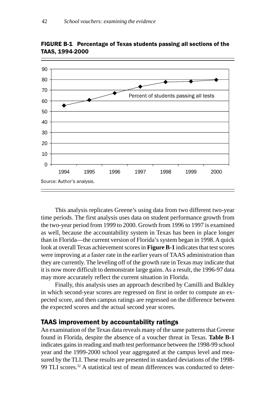

FIGURE B-1 Percentage of Texas students passing all sections of the TAAS, 1994-2000

This analysis replicates Greene's using data from two different two-year time periods. The first analysis uses data on student performance growth from the two-year period from 1999 to 2000. Growth from 1996 to 1997 is examined as well, because the accountability system in Texas has been in place longer than in Florida—the current version of Florida's system began in 1998. A quick look at overall Texas achievement scores in **Figure B-1** indicates that test scores were improving at a faster rate in the earlier years of TAAS administration than they are currently. The leveling off of the growth rate in Texas may indicate that it is now more difficult to demonstrate large gains. As a result, the 1996-97 data may more accurately reflect the current situation in Florida.

Finally, this analysis uses an approach described by Camilli and Bulkley in which second-year scores are regressed on first in order to compute an expected score, and then campus ratings are regressed on the difference between the expected scores and the actual second year scores.

#### TAAS improvement by accountability ratings

An examination of the Texas data reveals many of the same patterns that Greene found in Florida, despite the absence of a voucher threat in Texas. **Table B-1** indicates gains in reading and math test performance between the 1998-99 school year and the 1999-2000 school year aggregated at the campus level and measured by the TLI. These results are presented in standard deviations of the 1998- 99 TLI scores.<sup>32</sup> A statistical test of mean differences was conducted to deter-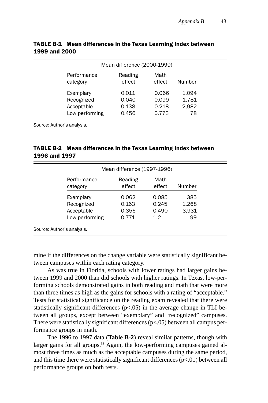|                         | Mean difference (2000-1999) |                |        |
|-------------------------|-----------------------------|----------------|--------|
| Performance<br>category | Reading<br>effect           | Math<br>effect | Number |
| Exemplary               | 0.011                       | 0.066          | 1.094  |
| Recognized              | 0.040                       | 0.099          | 1,781  |
| Acceptable              | 0.138                       | 0.218          | 2.982  |
| Low performing          | 0.456                       | 0.773          | 78     |

#### TABLE B-1 Mean differences in the Texas Learning Index between 1999 and 2000

Source: Author's analysis.

#### TABLE B-2 Mean differences in the Texas Learning Index between 1996 and 1997

| Performance<br>category | Reading<br>effect | Math<br>effect | Number |
|-------------------------|-------------------|----------------|--------|
| Exemplary               | 0.062             | 0.085          | 385    |
| Recognized              | 0.163             | 0.245          | 1,268  |
| Acceptable              | 0.356             | 0.490          | 3,931  |
| Low performing          | 0.771             | 1.2            | 99     |

mine if the differences on the change variable were statistically significant between campuses within each rating category.

As was true in Florida, schools with lower ratings had larger gains between 1999 and 2000 than did schools with higher ratings. In Texas, low-performing schools demonstrated gains in both reading and math that were more than three times as high as the gains for schools with a rating of "acceptable." Tests for statistical significance on the reading exam revealed that there were statistically significant differences  $(p<.05)$  in the average change in TLI between all groups, except between "exemplary" and "recognized" campuses. There were statistically significant differences  $(p<.05)$  between all campus performance groups in math.

The 1996 to 1997 data (**Table B-2**) reveal similar patterns, though with larger gains for all groups.<sup>33</sup> Again, the low-performing campuses gained almost three times as much as the acceptable campuses during the same period, and this time there were statistically significant differences  $(p<.01)$  between all performance groups on both tests.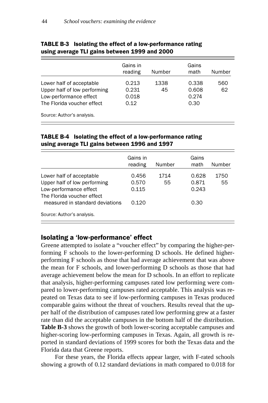|                              | Gains in<br>reading | Number | Gains<br>math | Number |
|------------------------------|---------------------|--------|---------------|--------|
| Lower half of acceptable     | 0.213               | 1338   | 0.338         | 560    |
| Upper half of low performing | 0.231               | 45     | 0.608         | 62     |
| Low-performance effect       | 0.018               |        | 0.274         |        |
| The Florida voucher effect   | 0.12                |        | 0.30          |        |
| Source: Author's analysis.   |                     |        |               |        |

#### TABLE B-3 lsolating the effect of a low-performance rating using average TLI gains between 1999 and 2000

#### TABLE B-4 Isolating the effect of a low-performance rating using average TLI gains between 1996 and 1997

|                                 | Gains in<br>reading | Number | Gains<br>math | Number |
|---------------------------------|---------------------|--------|---------------|--------|
| Lower half of acceptable        | 0.456               | 1714   | 0.628         | 1750   |
| Upper half of low performing    | 0.570               | 55     | 0.871         | 55     |
| Low-performance effect          | 0.115               |        | 0.243         |        |
| The Florida voucher effect      |                     |        |               |        |
| measured in standard deviations | 0.120               |        | 0.30          |        |
| Source: Author's analysis.      |                     |        |               |        |

#### Isolating a 'low-performance' effect

Greene attempted to isolate a "voucher effect" by comparing the higher-performing F schools to the lower-performing D schools. He defined higherperforming F schools as those that had average achievement that was above the mean for F schools, and lower-performing D schools as those that had average achievement below the mean for D schools. In an effort to replicate that analysis, higher-performing campuses rated low performing were compared to lower-performing campuses rated acceptable. This analysis was repeated on Texas data to see if low-performing campuses in Texas produced comparable gains without the threat of vouchers. Results reveal that the upper half of the distribution of campuses rated low performing grew at a faster rate than did the acceptable campuses in the bottom half of the distribution. **Table B-3** shows the growth of both lower-scoring acceptable campuses and higher-scoring low-performing campuses in Texas. Again, all growth is reported in standard deviations of 1999 scores for both the Texas data and the Florida data that Greene reports.

For these years, the Florida effects appear larger, with F-rated schools showing a growth of 0.12 standard deviations in math compared to 0.018 for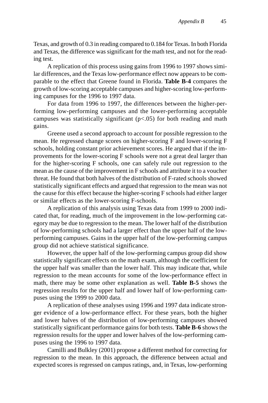Texas, and growth of 0.3 in reading compared to 0.184 for Texas. In both Florida and Texas, the difference was significant for the math test, and not for the reading test.

A replication of this process using gains from 1996 to 1997 shows similar differences, and the Texas low-performance effect now appears to be comparable to the effect that Greene found in Florida. **Table B-4** compares the growth of low-scoring acceptable campuses and higher-scoring low-performing campuses for the 1996 to 1997 data.

For data from 1996 to 1997, the differences between the higher-performing low-performing campuses and the lower-performing acceptable campuses was statistically significant  $(p<0.05)$  for both reading and math gains.

Greene used a second approach to account for possible regression to the mean. He regressed change scores on higher-scoring F and lower-scoring F schools, holding constant prior achievement scores. He argued that if the improvements for the lower-scoring F schools were not a great deal larger than for the higher-scoring F schools, one can safely rule out regression to the mean as the cause of the improvement in F schools and attribute it to a voucher threat. He found that both halves of the distribution of F-rated schools showed statistically significant effects and argued that regression to the mean was not the cause for this effect because the higher-scoring F schools had either larger or similar effects as the lower-scoring F-schools.

A replication of this analysis using Texas data from 1999 to 2000 indicated that, for reading, much of the improvement in the low-performing category may be due to regression to the mean. The lower half of the distribution of low-performing schools had a larger effect than the upper half of the lowperforming campuses. Gains in the upper half of the low-performing campus group did not achieve statistical significance.

However, the upper half of the low-performing campus group did show statistically significant effects on the math exam, although the coefficient for the upper half was smaller than the lower half. This may indicate that, while regression to the mean accounts for some of the low-performance effect in math, there may be some other explanation as well. **Table B-5** shows the regression results for the upper half and lower half of low-performing campuses using the 1999 to 2000 data.

A replication of these analyses using 1996 and 1997 data indicate stronger evidence of a low-performance effect. For these years, both the higher and lower halves of the distribution of low-performing campuses showed statistically significant performance gains for both tests. **Table B-6** shows the regression results for the upper and lower halves of the low-performing campuses using the 1996 to 1997 data.

Camilli and Bulkley (2001) propose a different method for correcting for regression to the mean. In this approach, the difference between actual and expected scores is regressed on campus ratings, and, in Texas, low-performing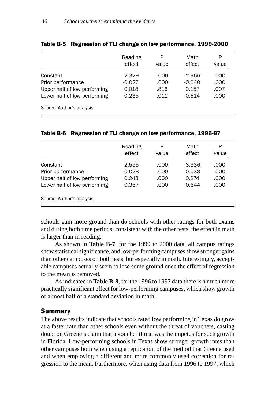|                              | Reading<br>effect | Ρ<br>value | Math<br>effect | P<br>value |
|------------------------------|-------------------|------------|----------------|------------|
| Constant                     | 2.329             | .000       | 2.966          | .000       |
| Prior performance            | $-0.027$          | .000       | $-0.040$       | .000       |
| Upper half of low performing | 0.018             | .816       | 0.157          | .007       |
| Lower half of low performing | 0.235             | .012       | 0.614          | .000       |
| Source: Author's analysis.   |                   |            |                |            |

#### Table B-5 Regression of TLI change on low performance, 1999-2000

#### Table B-6 Regression of TLI change on low performance, 1996-97

|                              | Reading<br>effect | P<br>value | Math<br>effect | P<br>value |
|------------------------------|-------------------|------------|----------------|------------|
| Constant                     | 2.555             | .000       | 3.336          | .000       |
| Prior performance            | $-0.028$          | .000       | $-0.038$       | .000       |
| Upper half of low performing | 0.243             | .000       | 0.274          | .000       |
| Lower half of low performing | 0.367             | .000       | 0.644          | .000       |
| Source: Author's analysis.   |                   |            |                |            |

schools gain more ground than do schools with other ratings for both exams and during both time periods; consistent with the other tests, the effect in math is larger than in reading.

As shown in **Table B-7**, for the 1999 to 2000 data, all campus ratings show statistical significance, and low-performing campuses show stronger gains than other campuses on both tests, but especially in math. Interestingly, acceptable campuses actually seem to lose some ground once the effect of regression to the mean is removed.

As indicated in **Table B-8**, for the 1996 to 1997 data there is a much more practically significant effect for low-performing campuses, which show growth of almost half of a standard deviation in math.

#### Summary

The above results indicate that schools rated low performing in Texas do grow at a faster rate than other schools even without the threat of vouchers, casting doubt on Greene's claim that a voucher threat was the impetus for such growth in Florida. Low-performing schools in Texas show stronger growth rates than other campuses both when using a replication of the method that Greene used and when employing a different and more commonly used correction for regression to the mean. Furthermore, when using data from 1996 to 1997, which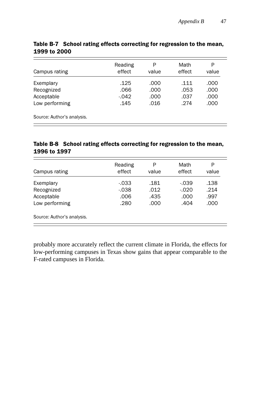| Campus rating              | Reading<br>effect | P<br>value | Math<br>effect | P<br>value |
|----------------------------|-------------------|------------|----------------|------------|
| Exemplary                  | .125              | .000       | .111           | .000       |
| Recognized                 | .066              | .000       | .053           | .000       |
| Acceptable                 | $-042$            | .000       | .037           | .000       |
| Low performing             | .145              | .016       | .274           | .000       |
| Source: Author's analysis. |                   |            |                |            |

#### Table B-7 School rating effects correcting for regression to the mean, 1999 to 2000

#### Table B-8 School rating effects correcting for regression to the mean, 1996 to 1997

| Campus rating              | Reading<br>effect | P<br>value | Math<br>effect | P<br>value |
|----------------------------|-------------------|------------|----------------|------------|
| Exemplary                  | $-0.33$           | .181       | $-0.39$        | .138       |
| Recognized                 | $-0.038$          | .012       | $-0.020$       | .214       |
| Acceptable                 | .006              | .435       | .000           | .997       |
| Low performing             | .280              | .000       | .404           | .000       |
| Source: Author's analysis. |                   |            |                |            |

probably more accurately reflect the current climate in Florida, the effects for low-performing campuses in Texas show gains that appear comparable to the F-rated campuses in Florida.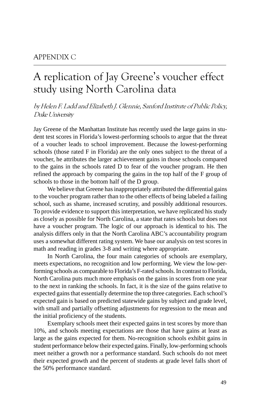#### APPENDIX C

### A replication of Jay Greene's voucher effect study using North Carolina data

by Helen F. Ladd and Elizabeth I. Glennie, Sanford Institute of Public Policy. Duke University

Jay Greene of the Manhattan Institute has recently used the large gains in student test scores in Florida's lowest-performing schools to argue that the threat of a voucher leads to school improvement. Because the lowest-performing schools (those rated F in Florida) are the only ones subject to the threat of a voucher, he attributes the larger achievement gains in those schools compared to the gains in the schools rated D to fear of the voucher program. He then refined the approach by comparing the gains in the top half of the F group of schools to those in the bottom half of the D group.

We believe that Greene has inappropriately attributed the differential gains to the voucher program rather than to the other effects of being labeled a failing school, such as shame, increased scrutiny, and possibly additional resources. To provide evidence to support this interpretation, we have replicated his study as closely as possible for North Carolina, a state that rates schools but does not have a voucher program. The logic of our approach is identical to his. The analysis differs only in that the North Carolina ABC's accountability program uses a somewhat different rating system. We base our analysis on test scores in math and reading in grades 3-8 and writing where appropriate.

In North Carolina, the four main categories of schools are exemplary, meets expectations, no recognition and low performing. We view the low-performing schools as comparable to Florida's F-rated schools. In contrast to Florida, North Carolina puts much more emphasis on the gains in scores from one year to the next in ranking the schools. In fact, it is the size of the gains relative to expected gains that essentially determine the top three categories. Each school's expected gain is based on predicted statewide gains by subject and grade level, with small and partially offsetting adjustments for regression to the mean and the initial proficiency of the students.

Exemplary schools meet their expected gains in test scores by more than 10%, and schools meeting expectations are those that have gains at least as large as the gains expected for them. No-recognition schools exhibit gains in student performance below their expected gains. Finally, low-performing schools meet neither a growth nor a performance standard. Such schools do not meet their expected growth and the percent of students at grade level falls short of the 50% performance standard.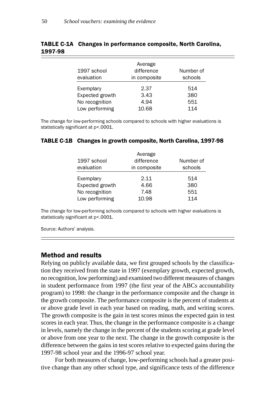| 1997 school<br>evaluation | Average<br>difference<br>in composite | Number of<br>schools |
|---------------------------|---------------------------------------|----------------------|
| Exemplary                 | 2.37                                  | 514                  |
| Expected growth           | 3.43                                  | 380                  |
| No recognition            | 4.94                                  | 551                  |
| Low performing            | 10.68                                 | 114                  |

#### **TABLE C-1A** Changes in performance composite, North Carolina, 1997-98

The change for low-performing schools compared to schools with higher evaluations is statistically significant at p<.0001.

#### TABLE C-1B Changes in growth composite, North Carolina, 1997-98

|                 | Average      |           |
|-----------------|--------------|-----------|
| 1997 school     | difference   | Number of |
| evaluation      | in composite | schools   |
| Exemplary       | 2.11         | 514       |
| Expected growth | 4.66         | 380       |
| No recognition  | 7.48         | 551       |
| Low performing  | 10.98        | 114       |

The change for low-performing schools compared to schools with higher evaluations is statistically significant at p<.0001.

Source: Authors' analysis.

#### **Method and results**

Relying on publicly available data, we first grouped schools by the classification they received from the state in 1997 (exemplary growth, expected growth, no recognition, low performing) and examined two different measures of changes in student performance from 1997 (the first year of the ABCs accountability program) to 1998: the change in the performance composite and the change in the growth composite. The performance composite is the percent of students at or above grade level in each year based on reading, math, and writing scores. The growth composite is the gain in test scores minus the expected gain in test scores in each year. Thus, the change in the performance composite is a change in levels, namely the change in the percent of the students scoring at grade level or above from one year to the next. The change in the growth composite is the difference between the gains in test scores relative to expected gains during the 1997-98 school year and the 1996-97 school year.

For both measures of change, low-performing schools had a greater positive change than any other school type, and significance tests of the difference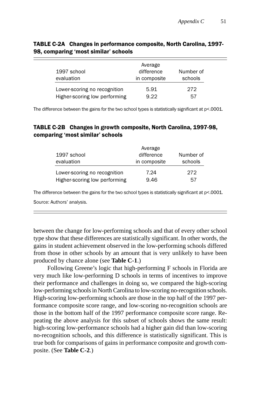| 1997 school<br>evaluation     | Average<br>difference<br>in composite | Number of<br>schools |
|-------------------------------|---------------------------------------|----------------------|
| Lower-scoring no recognition  | 5.91                                  | 272                  |
| Higher-scoring low performing | 9.22                                  | 57                   |

#### TABLE C-2A Changes in performance composite, North Carolina, 1997-98, comparing 'most similar' schools

The difference between the gains for the two school types is statistically significant at  $p<$  0001.

#### TABLE C-2B Changes in growth composite, North Carolina, 1997-98, comparing 'most similar' schools

|                               | Average      |           |
|-------------------------------|--------------|-----------|
| 1997 school                   | difference   | Number of |
| evaluation                    | in composite | schools   |
| Lower-scoring no recognition  | 7.24         | 272       |
| Higher-scoring low performing | 9.46         | 57        |

The difference between the gains for the two school types is statistically significant at p<.0001.

Source: Authors' analysis.

between the change for low-performing schools and that of every other school type show that these differences are statistically significant. In other words, the gains in student achievement observed in the low-performing schools differed from those in other schools by an amount that is very unlikely to have been produced by chance alone (see **Table C-1**.)

Following Greene's logic that high-performing F schools in Florida are very much like low-performing D schools in terms of incentives to improve their performance and challenges in doing so, we compared the high-scoring low-performing schools in North Carolina to low-scoring no-recognition schools. High-scoring low-performing schools are those in the top half of the 1997 performance composite score range, and low-scoring no-recognition schools are those in the bottom half of the 1997 performance composite score range. Repeating the above analysis for this subset of schools shows the same result: high-scoring low-performance schools had a higher gain did than low-scoring no-recognition schools, and this difference is statistically significant. This is true both for comparisons of gains in performance composite and growth composite. (See **Table C-2**.)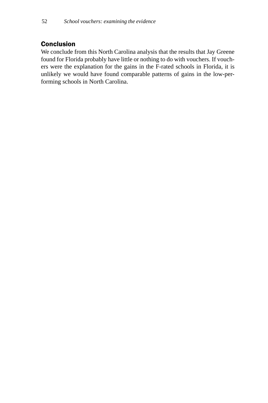#### **Conclusion**

We conclude from this North Carolina analysis that the results that Jay Greene found for Florida probably have little or nothing to do with vouchers. If vouchers were the explanation for the gains in the F-rated schools in Florida, it is unlikely we would have found comparable patterns of gains in the low-performing schools in North Carolina.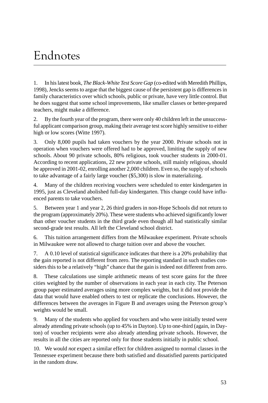## Endnotes

1. In his latest book, *The Black-White Test Score Gap* (co-edited with Meredith Phillips, 1998), Jencks seems to argue that the biggest cause of the persistent gap is differences in family characteristics over which schools, public or private, have very little control. But he does suggest that some school improvements, like smaller classes or better-prepared teachers, might make a difference.

2. By the fourth year of the program, there were only 40 children left in the unsuccessful applicant comparison group, making their average test score highly sensitive to either high or low scores (Witte 1997).

3. Only 8,000 pupils had taken vouchers by the year 2000. Private schools not in operation when vouchers were offered had to be approved, limiting the supply of new schools. About 90 private schools, 80% religious, took voucher students in 2000-01. According to recent applications, 22 new private schools, still mainly religious, should be approved in 2001-02, enrolling another 2,000 children. Even so, the supply of schools to take advantage of a fairly large voucher (\$5,300) is slow in materializing.

4. Many of the children receiving vouchers were scheduled to enter kindergarten in 1995, just as Cleveland abolished full-day kindergarten. This change could have influenced parents to take vouchers.

5. Between year 1 and year 2, 26 third graders in non-Hope Schools did not return to the program (approximately 20%). These were students who achieved significantly lower than other voucher students in the third grade even though all had statistically similar second-grade test results. All left the Cleveland school district.

6. This tuition arrangement differs from the Milwaukee experiment. Private schools in Milwaukee were not allowed to charge tuition over and above the voucher.

7. A 0.10 level of statistical significance indicates that there is a 20% probability that the gain reported is not different from zero. The reporting standard in such studies considers this to be a relatively "high" chance that the gain is indeed not different from zero.

8. These calculations use simple arithmetic means of test score gains for the three cities weighted by the number of observations in each year in each city. The Peterson group paper estimated averages using more complex weights, but it did not provide the data that would have enabled others to test or replicate the conclusions. However, the differences between the averages in Figure B and averages using the Peterson group's weights would be small.

9. Many of the students who applied for vouchers and who were initially tested were already attending private schools (up to 45% in Dayton). Up to one-third (again, in Dayton) of voucher recipients were also already attending private schools. However, the results in all the cities are reported only for those students initially in public school.

10. We would *not* expect a similar effect for children assigned to normal classes in the Tennessee experiment because there both satisfied and dissatisfied parents participated in the random draw.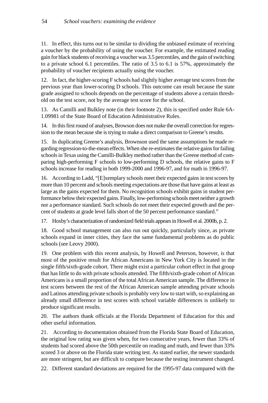11. In effect, this turns out to be similar to dividing the unbiased estimate of receiving a voucher by the probability of using the voucher. For example, the estimated reading gain for black students of receiving a voucher was 3.5 percentiles, and the gain of switching to a private school 6.1 percentiles. The ratio of 3.5 to 6.1 is 57%, approximately the probability of voucher recipients actually using the voucher.

12. In fact, the higher-scoring F schools had slightly higher average test scores from the previous year than lower-scoring D schools. This outcome can result because the state grade assigned to schools depends on the percentage of students above a certain threshold on the test score, not by the average test score for the school.

13. As Camilli and Bulkley note (in their footnote 2), this is specified under Rule 6A-1.09981 of the State Board of Education Administrative Rules.

14. In this first round of analyses, Browson does not make the overall correction for regression to the mean because she is trying to make a direct comparison to Greene's results.

15. In duplicating Greene's analysis, Brownson used the same assumptions he made regarding regression-to-the-mean effects. When she re-estimates the relative gains for failing schools in Texas using the Camilli-Bulkley method rather than the Greene method of comparing high-performing F schools to low-performing D schools, the relative gains to F schools increase for reading in both 1999-2000 and 1996-97, and for math in 1996-97.

16. According to Ladd, "[E]xemplary schools meet their expected gains in test scores by more than 10 percent and schools meeting expectations are those that have gains at least as large as the gains expected for them. No recognition schools exhibit gains in student performance below their expected gains. Finally, low-performing schools meet neither a growth nor a performance standard. Such schools do not meet their expected growth and the percent of students at grade level falls short of the 50 percent performance standard."

17. Hoxby's characterization of randomized field trials appears in Howell et al. 2000b, p. 2.

18. Good school management can also run out quickly, particularly since, as private schools expand in inner cities, they face the same fundamental problems as do public schools (see Leovy 2000).

19. One problem with this recent analysis, by Howell and Peterson, however, is that most of the positive result for African Americans in New York City is located in the single fifth/sixth-grade cohort. There might exist a particular cohort effect in that group that has little to do with private schools attended. The fifth/sixth-grade cohort of African Americans is a small proportion of the total African American sample. The difference in test scores between the rest of the African American sample attending private schools and Latinos attending private schools is probably very low to start with, so explaining an already small difference in test scores with school variable differences is unlikely to produce significant results.

20. The authors thank officials at the Florida Department of Education for this and other useful information.

21. According to documentation obtained from the Florida State Board of Education, the original low rating was given when, for two consecutive years, fewer than 33% of students had scored above the 50th percentile on reading and math, and fewer than 33% scored 3 or above on the Florida state writing test. As stated earlier, the newer standards are more stringent, but are difficult to compare because the testing instrument changed.

22. Different standard deviations are required for the 1995-97 data compared with the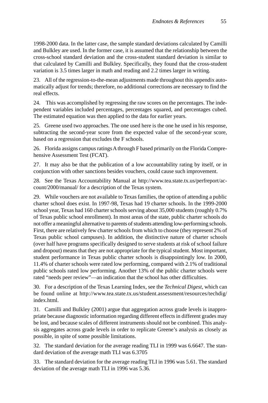1998-2000 data. In the latter case, the sample standard deviations calculated by Camilli and Bulkley are used. In the former case, it is assumed that the relationship between the cross-school standard deviation and the cross-student standard deviation is similar to that calculated by Camilli and Bulkley. Specifically, they found that the cross-student variation is 3.5 times larger in math and reading and 2.2 times larger in writing.

23. All of the regression-to-the-mean adjustments made throughout this appendix automatically adjust for trends; therefore, no additional corrections are necessary to find the real effects.

24. This was accomplished by regressing the raw scores on the percentages. The independent variables included percentages, percentages squared, and percentages cubed. The estimated equation was then applied to the data for earlier years.

25. Greene used two approaches. The one used here is the one he used in his response, subtracting the second-year score from the expected value of the second-year score, based on a regression that excludes the F schools.

26. Florida assigns campus ratings A through F based primarily on the Florida Comprehensive Assessment Test (FCAT).

27. It may also be that the publication of a low accountability rating by itself, or in conjunction with other sanctions besides vouchers, could cause such improvement.

28. See the Texas Accountability Manual at http://www.tea.state.tx.us/perfreport/account/2000/manual/ for a description of the Texas system.

29. While vouchers are not available to Texas families, the option of attending a public charter school does exist. In 1997-98, Texas had 19 charter schools. In the 1999-2000 school year, Texas had 160 charter schools serving about 35,000 students (roughly 0.7% of Texas public school enrollment). In most areas of the state, public charter schools do not offer a meaningful alternative to parents of students attending low-performing schools. First, there are relatively few charter schools from which to choose (they represent 2% of Texas public school campuses). In addition, the distinctive nature of charter schools (over half have programs specifically designed to serve students at risk of school failure and dropout) means that they are not appropriate for the typical student. Most important, student performance in Texas public charter schools is disappointingly low. In 2000, 11.4% of charter schools were rated low performing, compared with 2.1% of traditional public schools rated low performing. Another 13% of the public charter schools were rated "needs peer review"—an indication that the school has other difficulties.

30. For a description of the Texas Learning Index, see the *Technical Digest,* which can be found online at http://www.tea.state.tx.us/student.assessment/resources/techdig/ index.html.

31. Camilli and Bulkley (2001) argue that aggregation across grade levels is inappropriate because diagnostic information regarding different effects in different grades may be lost, and because scales of different instruments should not be combined. This analysis aggregates across grade levels in order to replicate Greene's analysis as closely as possible, in spite of some possible limitations.

32. The standard deviation for the average reading TLI in 1999 was 6.6647. The standard deviation of the average math TLI was 6.3705

33. The standard deviation for the average reading TLI in 1996 was 5.61. The standard deviation of the average math TLI in 1996 was 5.36.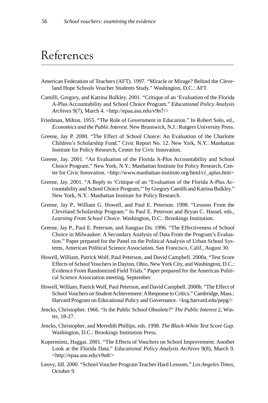### References

- American Federation of Teachers (AFT). 1997. "Miracle or Mirage? Behind the Cleveland Hope Schools Voucher Students Study." Washington, D.C.: AFT.
- Camilli, Gregory, and Katrina Bulkley. 2001. "Critique of an 'Evaluation of the Florida A-Plus Accountability and School Choice Program." *Educational Policy Analysis Archives* 9(7), March 4. <http://epaa.asu.edu/v9n7/>
- Friedman, Milton. 1955. "The Role of Government in Education." In Robert Solo, ed., *Economics and the Public Interest*. New Brunswick, N.J.: Rutgers University Press.
- Greene, Jay P. 2000. "The Effect of School Choice: An Evaluation of the Charlotte Children's Scholarship Fund." Civic Report No. 12. New York, N.Y.: Manhattan Institute for Policy Research, Center for Civic Innovation.
- Greene, Jay. 2001. "An Evaluation of the Florida A-Plus Accountability and School Choice Program." New York, N.Y.: Manhattan Institute for Policy Research, Center for Civic Innovation. <http://www.manhattan-institute.org/html/cr\_aplus.htm>
- Greene, Jay. 2001. "A Reply to 'Critique of an "Evaluation of the Florida A-Plus Accountability and School Choice Program,"' by Gregory Camilli and Katrina Bulkley." New York, N.Y.: Manhattan Institute for Policy Research.
- Greene, Jay P., William G. Howell, and Paul E. Peterson. 1998. "Lessons From the Cleveland Scholarship Program." In Paul E. Peterson and Bryan C. Hassel, eds., *Learning From School Choice.* Washington, D.C.: Brookings Institution.
- Greene, Jay P., Paul E. Peterson, and Jiangtao Du. 1996. "The Effectiveness of School Choice in Milwaukee: A Secondary Analysis of Data From the Program's Evaluation." Paper prepared for the Panel on the Political Analysis of Urban School Systems, American Political Science Association, San Francisco, Calif., August 30.
- Howell, William, Patrick Wolf, Paul Peterson, and David Campbell. 2000a. "Test Score Effects of School Vouchers in Dayton, Ohio, New York City, and Washington, D.C.: Evidence From Randomized Field Trials." Paper prepared for the American Political Science Association meeting, September.
- Howell, William, Patrick Wolf, Paul Peterson, and David Campbell. 2000b. "The Effect of School Vouchers on Student Achievement: A Response to Critics." Cambridge, Mass.: Harvard Program on Educational Policy and Governance. <ksg.harvard.edu/pepg/>
- Jencks, Christopher. 1966. "Is the Public School Obsolete?" *The Public Interest* 2, Winter, 18-27.
- Jencks, Christopher, and Meredith Phillips, eds. 1998. *The Black-White Test Score Gap*. Washington, D.C.: Brookings Institution Press.
- Kupermintz, Haggai. 2001. "The Effects of Vouchers on School Improvement: Another Look at the Florida Data." *Educational Policy Analysis Archives* 9(8), March 9. <http://epaa.asu.edu/v9n8/>
- Leovy, Jill. 2000. "School Voucher Program Teaches Hard Lessons." *Los Angeles Times,* October 9.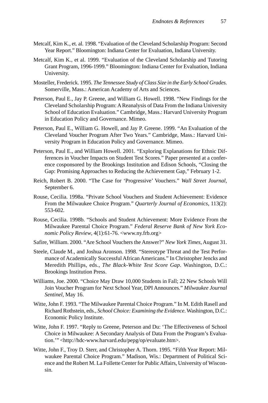- Metcalf, Kim K., et. al. 1998. "Evaluation of the Cleveland Scholarship Program: Second Year Report." Bloomington: Indiana Center for Evaluation, Indiana University.
- Metcalf, Kim K., et al. 1999. "Evaluation of the Cleveland Scholarship and Tutoring Grant Program, 1996-1999." Bloomington: Indiana Center for Evaluation, Indiana University.
- Mosteller, Frederick. 1995. *The Tennessee Study of Class Size in the Early School Grades.* Somerville, Mass.: American Academy of Arts and Sciences.
- Peterson, Paul E., Jay P. Greene, and William G. Howell. 1998. "New Findings for the Cleveland Scholarship Program: A Reanalysis of Data From the Indiana University School of Education Evaluation." Cambridge, Mass.: Harvard University Program in Education Policy and Governance. Mimeo.
- Peterson, Paul E., William G. Howell, and Jay P. Greene. 1999. "An Evaluation of the Cleveland Voucher Program After Two Years." Cambridge, Mass.: Harvard University Program in Education Policy and Governance. Mimeo.
- Peterson, Paul E., and William Howell. 2001. "Exploring Explanations for Ethnic Differences in Voucher Impacts on Student Test Scores." Paper presented at a conference cosponsored by the Brookings Institution and Edison Schools, "Closing the Gap: Promising Approaches to Reducing the Achievement Gap," February 1-2.
- Reich, Robert B. 2000. "The Case for 'Progressive' Vouchers." *Wall Street Journal*, September 6.
- Rouse, Cecilia. 1998a. "Private School Vouchers and Student Achievement: Evidence From the Milwaukee Choice Program." *Quarterly Journal of Economics*, 113(2): 553-602.
- Rouse, Cecilia. 1998b. "Schools and Student Achievement: More Evidence From the Milwaukee Parental Choice Program." *Federal Reserve Bank of New York Economic Policy Review*, 4(1):61-76. <www.ny.frb.org>
- Safire, William. 2000. "Are School Vouchers the Answer?" *New York Times*, August 31.
- Steele, Claude M., and Joshua Aronson. 1998. "Stereotype Threat and the Test Performance of Academically Successful African Americans." In Christopher Jencks and Meredith Phillips, eds., *The Black-White Test Score Gap*. Washington, D.C.: Brookings Institution Press.
- Williams, Joe. 2000. "Choice May Draw 10,000 Students in Fall; 22 New Schools Will Join Voucher Program for Next School Year, DPI Announces." *Milwaukee Journal Sentinel,* May 16.
- Witte, John F. 1993. "The Milwaukee Parental Choice Program." In M. Edith Rasell and Richard Rothstein, eds., *School Choice: Examining the Evidence*. Washington, D.C.: Economic Policy Institute.
- Witte, John F. 1997. "Reply to Greene, Peterson and Du: 'The Effectiveness of School Choice in Milwaukee: A Secondary Analysis of Data From the Program's Evaluation.'" <http://hdc-www.harvard.edu/pepg/op/evaluate.htm>.
- Witte, John F., Troy D. Sterr, and Christopher A. Thorn. 1995. "Fifth Year Report: Milwaukee Parental Choice Program." Madison, Wis.: Department of Political Science and the Robert M. La Follette Center for Public Affairs, University of Wisconsin.